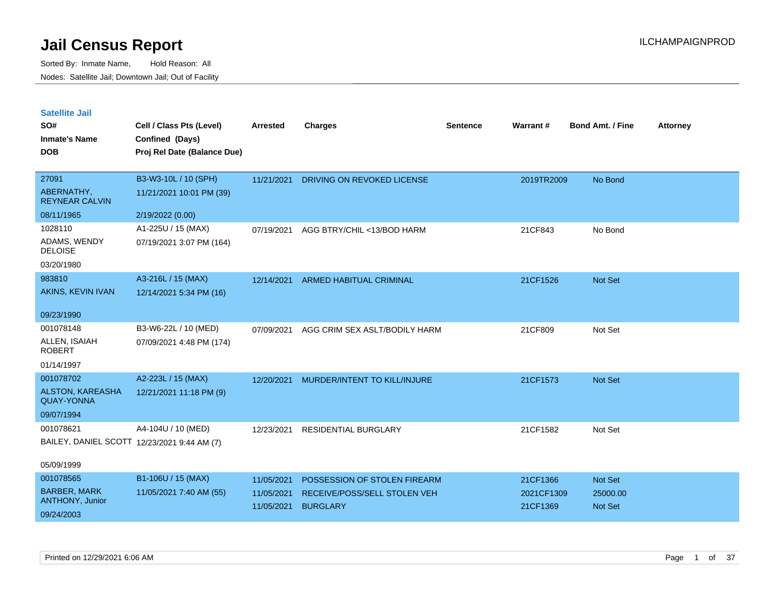| <b>Satellite Jail</b> |  |  |
|-----------------------|--|--|
|                       |  |  |

| SO#<br><b>Inmate's Name</b><br><b>DOB</b>    | Cell / Class Pts (Level)<br>Confined (Days)<br>Proj Rel Date (Balance Due) | Arrested   | <b>Charges</b>                | <b>Sentence</b> | <b>Warrant#</b> | <b>Bond Amt. / Fine</b> | <b>Attorney</b> |
|----------------------------------------------|----------------------------------------------------------------------------|------------|-------------------------------|-----------------|-----------------|-------------------------|-----------------|
|                                              |                                                                            |            |                               |                 |                 |                         |                 |
| 27091                                        | B3-W3-10L / 10 (SPH)                                                       | 11/21/2021 | DRIVING ON REVOKED LICENSE    |                 | 2019TR2009      | No Bond                 |                 |
| ABERNATHY,<br><b>REYNEAR CALVIN</b>          | 11/21/2021 10:01 PM (39)                                                   |            |                               |                 |                 |                         |                 |
| 08/11/1965                                   | 2/19/2022 (0.00)                                                           |            |                               |                 |                 |                         |                 |
| 1028110                                      | A1-225U / 15 (MAX)                                                         | 07/19/2021 | AGG BTRY/CHIL <13/BOD HARM    |                 | 21CF843         | No Bond                 |                 |
| ADAMS, WENDY<br><b>DELOISE</b>               | 07/19/2021 3:07 PM (164)                                                   |            |                               |                 |                 |                         |                 |
| 03/20/1980                                   |                                                                            |            |                               |                 |                 |                         |                 |
| 983810                                       | A3-216L / 15 (MAX)                                                         | 12/14/2021 | ARMED HABITUAL CRIMINAL       |                 | 21CF1526        | Not Set                 |                 |
| AKINS, KEVIN IVAN                            | 12/14/2021 5:34 PM (16)                                                    |            |                               |                 |                 |                         |                 |
| 09/23/1990                                   |                                                                            |            |                               |                 |                 |                         |                 |
| 001078148                                    | B3-W6-22L / 10 (MED)                                                       | 07/09/2021 | AGG CRIM SEX ASLT/BODILY HARM |                 | 21CF809         | Not Set                 |                 |
| ALLEN, ISAIAH<br><b>ROBERT</b>               | 07/09/2021 4:48 PM (174)                                                   |            |                               |                 |                 |                         |                 |
| 01/14/1997                                   |                                                                            |            |                               |                 |                 |                         |                 |
| 001078702                                    | A2-223L / 15 (MAX)                                                         | 12/20/2021 | MURDER/INTENT TO KILL/INJURE  |                 | 21CF1573        | Not Set                 |                 |
| <b>ALSTON, KAREASHA</b><br><b>QUAY-YONNA</b> | 12/21/2021 11:18 PM (9)                                                    |            |                               |                 |                 |                         |                 |
| 09/07/1994                                   |                                                                            |            |                               |                 |                 |                         |                 |
| 001078621                                    | A4-104U / 10 (MED)                                                         | 12/23/2021 | RESIDENTIAL BURGLARY          |                 | 21CF1582        | Not Set                 |                 |
|                                              | BAILEY, DANIEL SCOTT 12/23/2021 9:44 AM (7)                                |            |                               |                 |                 |                         |                 |
| 05/09/1999                                   |                                                                            |            |                               |                 |                 |                         |                 |
| 001078565                                    | B1-106U / 15 (MAX)                                                         | 11/05/2021 | POSSESSION OF STOLEN FIREARM  |                 | 21CF1366        | Not Set                 |                 |
| <b>BARBER, MARK</b>                          | 11/05/2021 7:40 AM (55)                                                    | 11/05/2021 | RECEIVE/POSS/SELL STOLEN VEH  |                 | 2021CF1309      | 25000.00                |                 |
| ANTHONY, Junior                              |                                                                            | 11/05/2021 | <b>BURGLARY</b>               |                 | 21CF1369        | <b>Not Set</b>          |                 |
| 09/24/2003                                   |                                                                            |            |                               |                 |                 |                         |                 |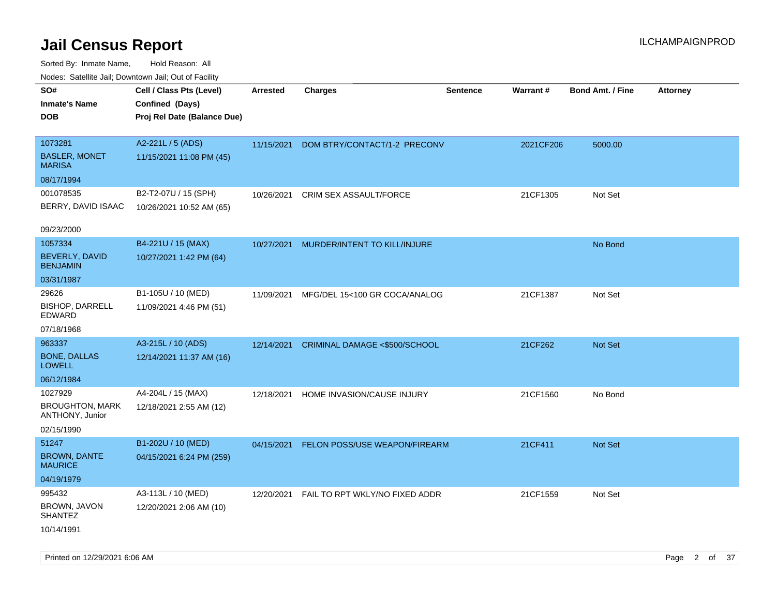| Nudes. Satellite Jali, Downtown Jali, Out of Facility |                             |                 |                                |                 |           |                         |                 |
|-------------------------------------------------------|-----------------------------|-----------------|--------------------------------|-----------------|-----------|-------------------------|-----------------|
| SO#                                                   | Cell / Class Pts (Level)    | <b>Arrested</b> | <b>Charges</b>                 | <b>Sentence</b> | Warrant#  | <b>Bond Amt. / Fine</b> | <b>Attorney</b> |
| Inmate's Name                                         | Confined (Days)             |                 |                                |                 |           |                         |                 |
| DOB                                                   | Proj Rel Date (Balance Due) |                 |                                |                 |           |                         |                 |
|                                                       |                             |                 |                                |                 |           |                         |                 |
| 1073281                                               | A2-221L / 5 (ADS)           | 11/15/2021      | DOM BTRY/CONTACT/1-2 PRECONV   |                 | 2021CF206 | 5000.00                 |                 |
| <b>BASLER, MONET</b><br>MARISA                        | 11/15/2021 11:08 PM (45)    |                 |                                |                 |           |                         |                 |
| 08/17/1994                                            |                             |                 |                                |                 |           |                         |                 |
| 001078535                                             | B2-T2-07U / 15 (SPH)        | 10/26/2021      | <b>CRIM SEX ASSAULT/FORCE</b>  |                 | 21CF1305  | Not Set                 |                 |
| BERRY, DAVID ISAAC                                    | 10/26/2021 10:52 AM (65)    |                 |                                |                 |           |                         |                 |
|                                                       |                             |                 |                                |                 |           |                         |                 |
| 09/23/2000                                            |                             |                 |                                |                 |           |                         |                 |
| 1057334                                               | B4-221U / 15 (MAX)          | 10/27/2021      | MURDER/INTENT TO KILL/INJURE   |                 |           | No Bond                 |                 |
| BEVERLY, DAVID<br><b>BENJAMIN</b>                     | 10/27/2021 1:42 PM (64)     |                 |                                |                 |           |                         |                 |
| 03/31/1987                                            |                             |                 |                                |                 |           |                         |                 |
| 29626                                                 | B1-105U / 10 (MED)          | 11/09/2021      | MFG/DEL 15<100 GR COCA/ANALOG  |                 | 21CF1387  | Not Set                 |                 |
| <b>BISHOP, DARRELL</b><br>EDWARD                      | 11/09/2021 4:46 PM (51)     |                 |                                |                 |           |                         |                 |
| 07/18/1968                                            |                             |                 |                                |                 |           |                         |                 |
| 963337                                                | A3-215L / 10 (ADS)          | 12/14/2021      | CRIMINAL DAMAGE <\$500/SCHOOL  |                 | 21CF262   | Not Set                 |                 |
| <b>BONE, DALLAS</b><br>LOWELL                         | 12/14/2021 11:37 AM (16)    |                 |                                |                 |           |                         |                 |
| 06/12/1984                                            |                             |                 |                                |                 |           |                         |                 |
| 1027929                                               | A4-204L / 15 (MAX)          | 12/18/2021      | HOME INVASION/CAUSE INJURY     |                 | 21CF1560  | No Bond                 |                 |
| <b>BROUGHTON, MARK</b><br>ANTHONY, Junior             | 12/18/2021 2:55 AM (12)     |                 |                                |                 |           |                         |                 |
| 02/15/1990                                            |                             |                 |                                |                 |           |                         |                 |
| 51247                                                 | B1-202U / 10 (MED)          | 04/15/2021      | FELON POSS/USE WEAPON/FIREARM  |                 | 21CF411   | Not Set                 |                 |
| <b>BROWN, DANTE</b><br>MAURICE                        | 04/15/2021 6:24 PM (259)    |                 |                                |                 |           |                         |                 |
| 04/19/1979                                            |                             |                 |                                |                 |           |                         |                 |
| 995432                                                | A3-113L / 10 (MED)          | 12/20/2021      | FAIL TO RPT WKLY/NO FIXED ADDR |                 | 21CF1559  | Not Set                 |                 |
| BROWN, JAVON<br>SHANTEZ                               | 12/20/2021 2:06 AM (10)     |                 |                                |                 |           |                         |                 |
| 10/14/1991                                            |                             |                 |                                |                 |           |                         |                 |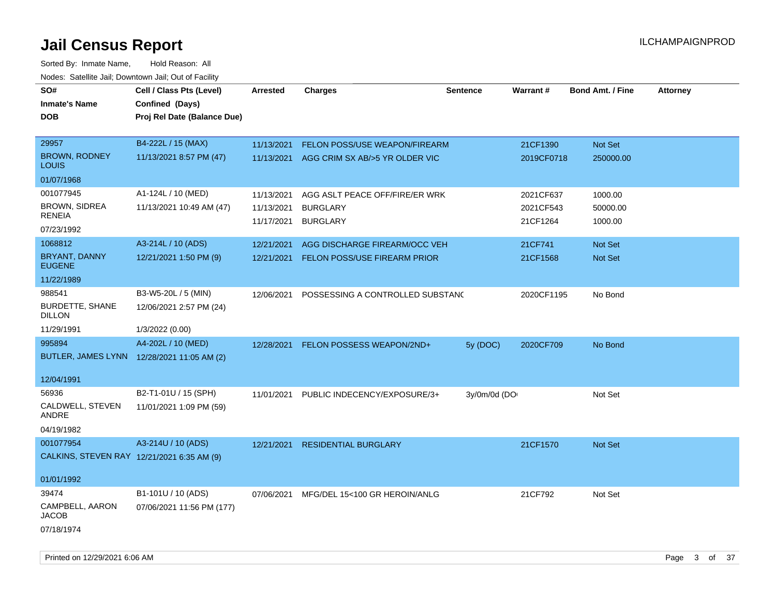| SO#                                        |                             |                 |                                     |                 | <b>Warrant#</b> | <b>Bond Amt. / Fine</b> |                 |
|--------------------------------------------|-----------------------------|-----------------|-------------------------------------|-----------------|-----------------|-------------------------|-----------------|
|                                            | Cell / Class Pts (Level)    | <b>Arrested</b> | <b>Charges</b>                      | <b>Sentence</b> |                 |                         | <b>Attorney</b> |
| <b>Inmate's Name</b>                       | Confined (Days)             |                 |                                     |                 |                 |                         |                 |
| <b>DOB</b>                                 | Proj Rel Date (Balance Due) |                 |                                     |                 |                 |                         |                 |
| 29957                                      | B4-222L / 15 (MAX)          | 11/13/2021      | FELON POSS/USE WEAPON/FIREARM       |                 | 21CF1390        | Not Set                 |                 |
| <b>BROWN, RODNEY</b><br>LOUIS              | 11/13/2021 8:57 PM (47)     | 11/13/2021      | AGG CRIM SX AB/>5 YR OLDER VIC      |                 | 2019CF0718      | 250000.00               |                 |
| 01/07/1968                                 |                             |                 |                                     |                 |                 |                         |                 |
| 001077945                                  | A1-124L / 10 (MED)          | 11/13/2021      | AGG ASLT PEACE OFF/FIRE/ER WRK      |                 | 2021CF637       | 1000.00                 |                 |
| BROWN, SIDREA                              | 11/13/2021 10:49 AM (47)    | 11/13/2021      | <b>BURGLARY</b>                     |                 | 2021CF543       | 50000.00                |                 |
| RENEIA<br>07/23/1992                       |                             | 11/17/2021      | <b>BURGLARY</b>                     |                 | 21CF1264        | 1000.00                 |                 |
| 1068812                                    | A3-214L / 10 (ADS)          | 12/21/2021      | AGG DISCHARGE FIREARM/OCC VEH       |                 | 21CF741         | Not Set                 |                 |
| BRYANT, DANNY<br><b>EUGENE</b>             | 12/21/2021 1:50 PM (9)      | 12/21/2021      | <b>FELON POSS/USE FIREARM PRIOR</b> |                 | 21CF1568        | Not Set                 |                 |
| 11/22/1989                                 |                             |                 |                                     |                 |                 |                         |                 |
| 988541                                     | B3-W5-20L / 5 (MIN)         | 12/06/2021      | POSSESSING A CONTROLLED SUBSTANC    |                 | 2020CF1195      | No Bond                 |                 |
| <b>BURDETTE, SHANE</b><br><b>DILLON</b>    | 12/06/2021 2:57 PM (24)     |                 |                                     |                 |                 |                         |                 |
| 11/29/1991                                 | 1/3/2022 (0.00)             |                 |                                     |                 |                 |                         |                 |
| 995894                                     | A4-202L / 10 (MED)          | 12/28/2021      | FELON POSSESS WEAPON/2ND+           | 5y (DOC)        | 2020CF709       | No Bond                 |                 |
| BUTLER, JAMES LYNN 12/28/2021 11:05 AM (2) |                             |                 |                                     |                 |                 |                         |                 |
| 12/04/1991                                 |                             |                 |                                     |                 |                 |                         |                 |
| 56936                                      | B2-T1-01U / 15 (SPH)        | 11/01/2021      | PUBLIC INDECENCY/EXPOSURE/3+        | 3y/0m/0d (DO    |                 | Not Set                 |                 |
| CALDWELL, STEVEN<br>ANDRE                  | 11/01/2021 1:09 PM (59)     |                 |                                     |                 |                 |                         |                 |
| 04/19/1982                                 |                             |                 |                                     |                 |                 |                         |                 |
| 001077954                                  | A3-214U / 10 (ADS)          | 12/21/2021      | <b>RESIDENTIAL BURGLARY</b>         |                 | 21CF1570        | Not Set                 |                 |
| CALKINS, STEVEN RAY 12/21/2021 6:35 AM (9) |                             |                 |                                     |                 |                 |                         |                 |
| 01/01/1992                                 |                             |                 |                                     |                 |                 |                         |                 |
| 39474                                      | B1-101U / 10 (ADS)          | 07/06/2021      | MFG/DEL 15<100 GR HEROIN/ANLG       |                 | 21CF792         | Not Set                 |                 |
| CAMPBELL, AARON<br>JACOB                   | 07/06/2021 11:56 PM (177)   |                 |                                     |                 |                 |                         |                 |
| 07/18/1974                                 |                             |                 |                                     |                 |                 |                         |                 |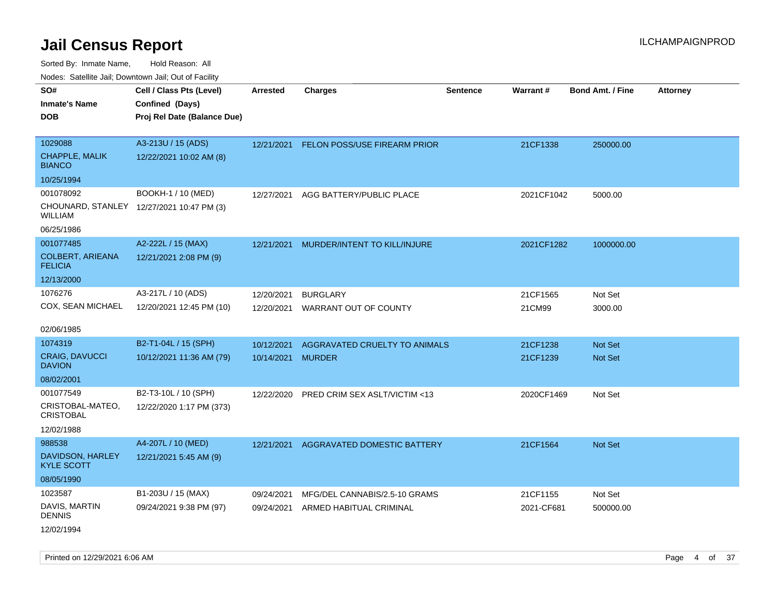Sorted By: Inmate Name, Hold Reason: All

| Nodes: Satellite Jail; Downtown Jail; Out of Facility |                                           |                   |                                         |                 |                 |                  |                 |
|-------------------------------------------------------|-------------------------------------------|-------------------|-----------------------------------------|-----------------|-----------------|------------------|-----------------|
| SO#                                                   | Cell / Class Pts (Level)                  | Arrested          | <b>Charges</b>                          | <b>Sentence</b> | <b>Warrant#</b> | Bond Amt. / Fine | <b>Attorney</b> |
| <b>Inmate's Name</b>                                  | Confined (Days)                           |                   |                                         |                 |                 |                  |                 |
| <b>DOB</b>                                            | Proj Rel Date (Balance Due)               |                   |                                         |                 |                 |                  |                 |
|                                                       |                                           |                   |                                         |                 |                 |                  |                 |
| 1029088                                               | A3-213U / 15 (ADS)                        |                   | 12/21/2021 FELON POSS/USE FIREARM PRIOR |                 | 21CF1338        | 250000.00        |                 |
| CHAPPLE, MALIK<br><b>BIANCO</b>                       | 12/22/2021 10:02 AM (8)                   |                   |                                         |                 |                 |                  |                 |
| 10/25/1994                                            |                                           |                   |                                         |                 |                 |                  |                 |
| 001078092                                             | BOOKH-1 / 10 (MED)                        | 12/27/2021        | AGG BATTERY/PUBLIC PLACE                |                 | 2021CF1042      | 5000.00          |                 |
| WILLIAM                                               | CHOUNARD, STANLEY 12/27/2021 10:47 PM (3) |                   |                                         |                 |                 |                  |                 |
| 06/25/1986                                            |                                           |                   |                                         |                 |                 |                  |                 |
| 001077485                                             | A2-222L / 15 (MAX)                        | 12/21/2021        | MURDER/INTENT TO KILL/INJURE            |                 | 2021CF1282      | 1000000.00       |                 |
| <b>COLBERT, ARIEANA</b><br><b>FELICIA</b>             | 12/21/2021 2:08 PM (9)                    |                   |                                         |                 |                 |                  |                 |
| 12/13/2000                                            |                                           |                   |                                         |                 |                 |                  |                 |
| 1076276                                               | A3-217L / 10 (ADS)                        | 12/20/2021        | <b>BURGLARY</b>                         |                 | 21CF1565        | Not Set          |                 |
| COX, SEAN MICHAEL                                     | 12/20/2021 12:45 PM (10)                  | 12/20/2021        | WARRANT OUT OF COUNTY                   |                 | 21CM99          | 3000.00          |                 |
| 02/06/1985                                            |                                           |                   |                                         |                 |                 |                  |                 |
| 1074319                                               | B2-T1-04L / 15 (SPH)                      | 10/12/2021        | AGGRAVATED CRUELTY TO ANIMALS           |                 | 21CF1238        | Not Set          |                 |
| CRAIG, DAVUCCI<br><b>DAVION</b>                       | 10/12/2021 11:36 AM (79)                  | 10/14/2021 MURDER |                                         |                 | 21CF1239        | Not Set          |                 |
| 08/02/2001                                            |                                           |                   |                                         |                 |                 |                  |                 |
| 001077549                                             | B2-T3-10L / 10 (SPH)                      | 12/22/2020        | PRED CRIM SEX ASLT/VICTIM <13           |                 | 2020CF1469      | Not Set          |                 |
| CRISTOBAL-MATEO,<br><b>CRISTOBAL</b>                  | 12/22/2020 1:17 PM (373)                  |                   |                                         |                 |                 |                  |                 |
| 12/02/1988                                            |                                           |                   |                                         |                 |                 |                  |                 |
| 988538                                                | A4-207L / 10 (MED)                        | 12/21/2021        | AGGRAVATED DOMESTIC BATTERY             |                 | 21CF1564        | Not Set          |                 |
| DAVIDSON, HARLEY<br><b>KYLE SCOTT</b>                 | 12/21/2021 5:45 AM (9)                    |                   |                                         |                 |                 |                  |                 |
| 08/05/1990                                            |                                           |                   |                                         |                 |                 |                  |                 |
| 1023587                                               | B1-203U / 15 (MAX)                        | 09/24/2021        | MFG/DEL CANNABIS/2.5-10 GRAMS           |                 | 21CF1155        | Not Set          |                 |
| DAVIS, MARTIN<br><b>DENNIS</b>                        | 09/24/2021 9:38 PM (97)                   | 09/24/2021        | ARMED HABITUAL CRIMINAL                 |                 | 2021-CF681      | 500000.00        |                 |
| 12/02/1994                                            |                                           |                   |                                         |                 |                 |                  |                 |

Printed on 12/29/2021 6:06 AM **Page 4 of 37**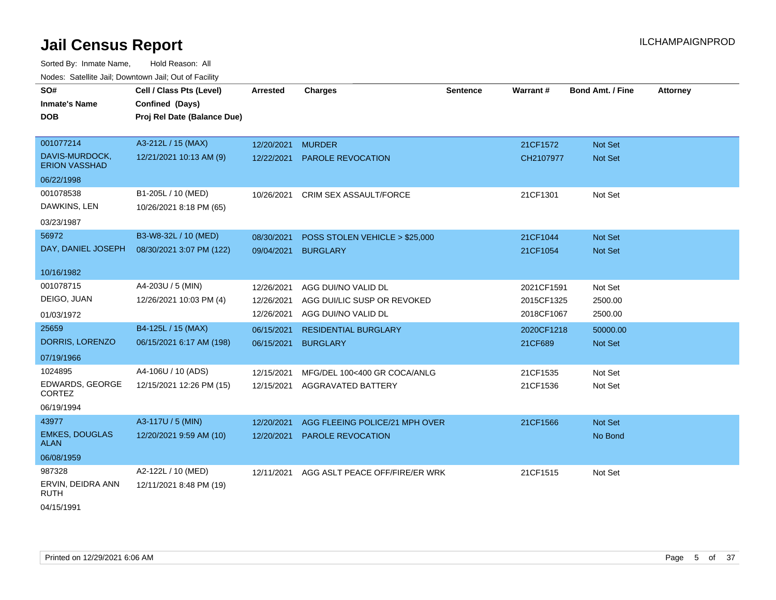Sorted By: Inmate Name, Hold Reason: All Nodes: Satellite Jail; Downtown Jail; Out of Facility

| SO#                                    | Cell / Class Pts (Level)    | Arrested   | <b>Charges</b>                 | <b>Sentence</b> | Warrant#   | <b>Bond Amt. / Fine</b> | <b>Attorney</b> |
|----------------------------------------|-----------------------------|------------|--------------------------------|-----------------|------------|-------------------------|-----------------|
| <b>Inmate's Name</b>                   | Confined (Days)             |            |                                |                 |            |                         |                 |
| DOB                                    | Proj Rel Date (Balance Due) |            |                                |                 |            |                         |                 |
|                                        |                             |            |                                |                 |            |                         |                 |
| 001077214                              | A3-212L / 15 (MAX)          | 12/20/2021 | <b>MURDER</b>                  |                 | 21CF1572   | <b>Not Set</b>          |                 |
| DAVIS-MURDOCK,<br><b>ERION VASSHAD</b> | 12/21/2021 10:13 AM (9)     | 12/22/2021 | <b>PAROLE REVOCATION</b>       |                 | CH2107977  | <b>Not Set</b>          |                 |
| 06/22/1998                             |                             |            |                                |                 |            |                         |                 |
| 001078538                              | B1-205L / 10 (MED)          | 10/26/2021 | CRIM SEX ASSAULT/FORCE         |                 | 21CF1301   | Not Set                 |                 |
| DAWKINS, LEN                           | 10/26/2021 8:18 PM (65)     |            |                                |                 |            |                         |                 |
| 03/23/1987                             |                             |            |                                |                 |            |                         |                 |
| 56972                                  | B3-W8-32L / 10 (MED)        | 08/30/2021 | POSS STOLEN VEHICLE > \$25,000 |                 | 21CF1044   | <b>Not Set</b>          |                 |
| DAY, DANIEL JOSEPH                     | 08/30/2021 3:07 PM (122)    | 09/04/2021 | <b>BURGLARY</b>                |                 | 21CF1054   | <b>Not Set</b>          |                 |
|                                        |                             |            |                                |                 |            |                         |                 |
| 10/16/1982                             |                             |            |                                |                 |            |                         |                 |
| 001078715                              | A4-203U / 5 (MIN)           | 12/26/2021 | AGG DUI/NO VALID DL            |                 | 2021CF1591 | Not Set                 |                 |
| DEIGO, JUAN                            | 12/26/2021 10:03 PM (4)     | 12/26/2021 | AGG DUI/LIC SUSP OR REVOKED    |                 | 2015CF1325 | 2500.00                 |                 |
| 01/03/1972                             |                             | 12/26/2021 | AGG DUI/NO VALID DL            |                 | 2018CF1067 | 2500.00                 |                 |
| 25659                                  | B4-125L / 15 (MAX)          | 06/15/2021 | <b>RESIDENTIAL BURGLARY</b>    |                 | 2020CF1218 | 50000.00                |                 |
| DORRIS, LORENZO                        | 06/15/2021 6:17 AM (198)    | 06/15/2021 | <b>BURGLARY</b>                |                 | 21CF689    | <b>Not Set</b>          |                 |
| 07/19/1966                             |                             |            |                                |                 |            |                         |                 |
| 1024895                                | A4-106U / 10 (ADS)          | 12/15/2021 | MFG/DEL 100<400 GR COCA/ANLG   |                 | 21CF1535   | Not Set                 |                 |
| EDWARDS, GEORGE                        | 12/15/2021 12:26 PM (15)    | 12/15/2021 | AGGRAVATED BATTERY             |                 | 21CF1536   | Not Set                 |                 |
| <b>CORTEZ</b>                          |                             |            |                                |                 |            |                         |                 |
| 06/19/1994                             |                             |            |                                |                 |            |                         |                 |
| 43977                                  | A3-117U / 5 (MIN)           | 12/20/2021 | AGG FLEEING POLICE/21 MPH OVER |                 | 21CF1566   | <b>Not Set</b>          |                 |
| <b>EMKES, DOUGLAS</b><br><b>ALAN</b>   | 12/20/2021 9:59 AM (10)     | 12/20/2021 | <b>PAROLE REVOCATION</b>       |                 |            | No Bond                 |                 |
| 06/08/1959                             |                             |            |                                |                 |            |                         |                 |
| 987328                                 | A2-122L / 10 (MED)          | 12/11/2021 | AGG ASLT PEACE OFF/FIRE/ER WRK |                 | 21CF1515   | Not Set                 |                 |
| ERVIN, DEIDRA ANN<br><b>RUTH</b>       | 12/11/2021 8:48 PM (19)     |            |                                |                 |            |                         |                 |
| 0.4/15/1001                            |                             |            |                                |                 |            |                         |                 |

04/15/1991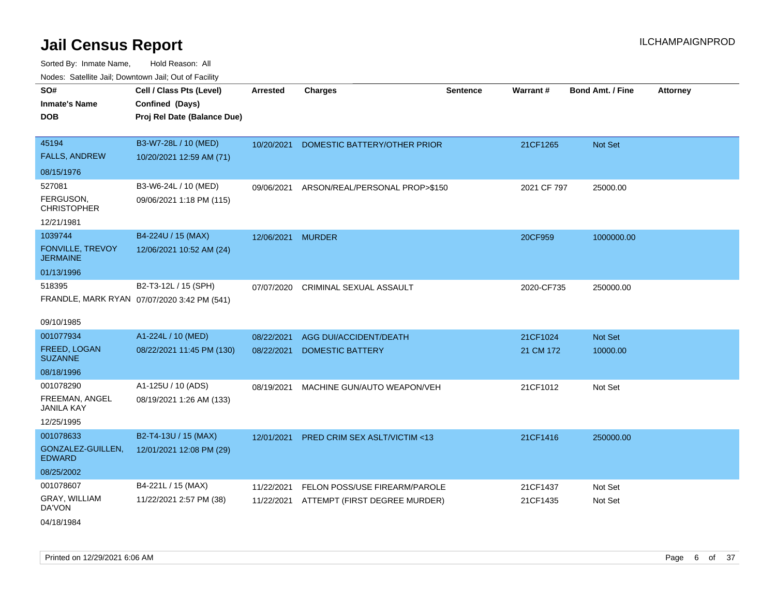| SO#                                   | Cell / Class Pts (Level)                    | <b>Arrested</b>   | <b>Charges</b>                           | <b>Sentence</b> | Warrant#    | <b>Bond Amt. / Fine</b> | <b>Attorney</b> |
|---------------------------------------|---------------------------------------------|-------------------|------------------------------------------|-----------------|-------------|-------------------------|-----------------|
| <b>Inmate's Name</b>                  | Confined (Days)                             |                   |                                          |                 |             |                         |                 |
| <b>DOB</b>                            | Proj Rel Date (Balance Due)                 |                   |                                          |                 |             |                         |                 |
|                                       |                                             |                   |                                          |                 |             |                         |                 |
| 45194                                 | B3-W7-28L / 10 (MED)                        | 10/20/2021        | DOMESTIC BATTERY/OTHER PRIOR             |                 | 21CF1265    | Not Set                 |                 |
| <b>FALLS, ANDREW</b>                  | 10/20/2021 12:59 AM (71)                    |                   |                                          |                 |             |                         |                 |
| 08/15/1976                            |                                             |                   |                                          |                 |             |                         |                 |
| 527081                                | B3-W6-24L / 10 (MED)                        | 09/06/2021        | ARSON/REAL/PERSONAL PROP>\$150           |                 | 2021 CF 797 | 25000.00                |                 |
| FERGUSON,<br><b>CHRISTOPHER</b>       | 09/06/2021 1:18 PM (115)                    |                   |                                          |                 |             |                         |                 |
| 12/21/1981                            |                                             |                   |                                          |                 |             |                         |                 |
| 1039744                               | B4-224U / 15 (MAX)                          | 12/06/2021 MURDER |                                          |                 | 20CF959     | 1000000.00              |                 |
| FONVILLE, TREVOY<br><b>JERMAINE</b>   | 12/06/2021 10:52 AM (24)                    |                   |                                          |                 |             |                         |                 |
| 01/13/1996                            |                                             |                   |                                          |                 |             |                         |                 |
| 518395                                | B2-T3-12L / 15 (SPH)                        | 07/07/2020        | <b>CRIMINAL SEXUAL ASSAULT</b>           |                 | 2020-CF735  | 250000.00               |                 |
|                                       | FRANDLE, MARK RYAN 07/07/2020 3:42 PM (541) |                   |                                          |                 |             |                         |                 |
| 09/10/1985                            |                                             |                   |                                          |                 |             |                         |                 |
| 001077934                             | A1-224L / 10 (MED)                          | 08/22/2021        | AGG DUI/ACCIDENT/DEATH                   |                 | 21CF1024    | Not Set                 |                 |
| <b>FREED, LOGAN</b><br><b>SUZANNE</b> | 08/22/2021 11:45 PM (130)                   | 08/22/2021        | <b>DOMESTIC BATTERY</b>                  |                 | 21 CM 172   | 10000.00                |                 |
| 08/18/1996                            |                                             |                   |                                          |                 |             |                         |                 |
| 001078290                             | A1-125U / 10 (ADS)                          | 08/19/2021        | MACHINE GUN/AUTO WEAPON/VEH              |                 | 21CF1012    | Not Set                 |                 |
| FREEMAN, ANGEL<br><b>JANILA KAY</b>   | 08/19/2021 1:26 AM (133)                    |                   |                                          |                 |             |                         |                 |
| 12/25/1995                            |                                             |                   |                                          |                 |             |                         |                 |
| 001078633                             | B2-T4-13U / 15 (MAX)                        |                   | 12/01/2021 PRED CRIM SEX ASLT/VICTIM <13 |                 | 21CF1416    | 250000.00               |                 |
| GONZALEZ-GUILLEN,<br><b>EDWARD</b>    | 12/01/2021 12:08 PM (29)                    |                   |                                          |                 |             |                         |                 |
| 08/25/2002                            |                                             |                   |                                          |                 |             |                         |                 |
| 001078607                             | B4-221L / 15 (MAX)                          | 11/22/2021        | FELON POSS/USE FIREARM/PAROLE            |                 | 21CF1437    | Not Set                 |                 |
| GRAY, WILLIAM<br>DA'VON               | 11/22/2021 2:57 PM (38)                     | 11/22/2021        | ATTEMPT (FIRST DEGREE MURDER)            |                 | 21CF1435    | Not Set                 |                 |
| 04/18/1984                            |                                             |                   |                                          |                 |             |                         |                 |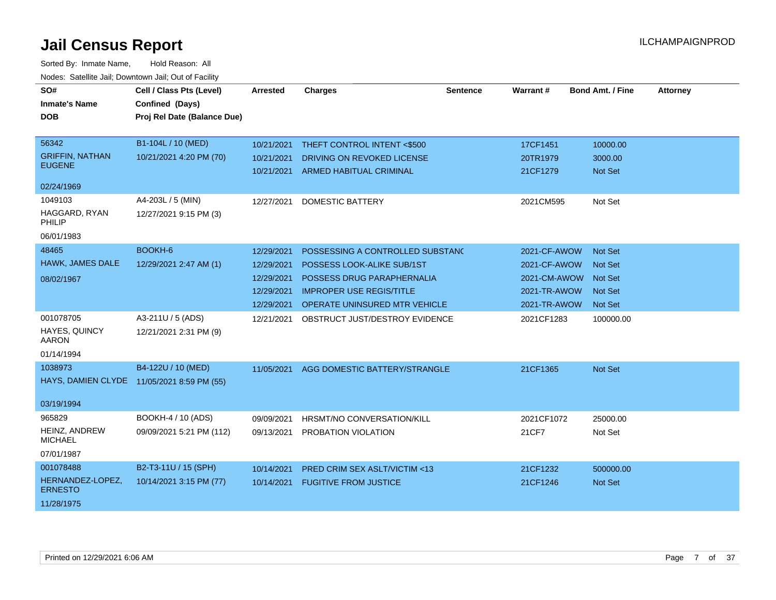| SO#<br><b>Inmate's Name</b><br><b>DOB</b>                      | Cell / Class Pts (Level)<br>Confined (Days)<br>Proj Rel Date (Balance Due) | <b>Arrested</b>                                                    | <b>Charges</b>                                                                                                                                                   | <b>Sentence</b> | <b>Warrant#</b>                                                              | <b>Bond Amt. / Fine</b>                                                         | <b>Attorney</b> |
|----------------------------------------------------------------|----------------------------------------------------------------------------|--------------------------------------------------------------------|------------------------------------------------------------------------------------------------------------------------------------------------------------------|-----------------|------------------------------------------------------------------------------|---------------------------------------------------------------------------------|-----------------|
| 56342<br><b>GRIFFIN, NATHAN</b><br><b>EUGENE</b>               | B1-104L / 10 (MED)<br>10/21/2021 4:20 PM (70)                              | 10/21/2021<br>10/21/2021<br>10/21/2021                             | THEFT CONTROL INTENT <\$500<br>DRIVING ON REVOKED LICENSE<br><b>ARMED HABITUAL CRIMINAL</b>                                                                      |                 | 17CF1451<br>20TR1979<br>21CF1279                                             | 10000.00<br>3000.00<br><b>Not Set</b>                                           |                 |
| 02/24/1969<br>1049103<br>HAGGARD, RYAN<br>PHILIP<br>06/01/1983 | A4-203L / 5 (MIN)<br>12/27/2021 9:15 PM (3)                                | 12/27/2021                                                         | <b>DOMESTIC BATTERY</b>                                                                                                                                          |                 | 2021CM595                                                                    | Not Set                                                                         |                 |
| 48465<br>HAWK, JAMES DALE<br>08/02/1967                        | BOOKH-6<br>12/29/2021 2:47 AM (1)                                          | 12/29/2021<br>12/29/2021<br>12/29/2021<br>12/29/2021<br>12/29/2021 | POSSESSING A CONTROLLED SUBSTAND<br>POSSESS LOOK-ALIKE SUB/1ST<br>POSSESS DRUG PARAPHERNALIA<br><b>IMPROPER USE REGIS/TITLE</b><br>OPERATE UNINSURED MTR VEHICLE |                 | 2021-CF-AWOW<br>2021-CF-AWOW<br>2021-CM-AWOW<br>2021-TR-AWOW<br>2021-TR-AWOW | <b>Not Set</b><br><b>Not Set</b><br><b>Not Set</b><br>Not Set<br><b>Not Set</b> |                 |
| 001078705<br>HAYES, QUINCY<br><b>AARON</b><br>01/14/1994       | A3-211U / 5 (ADS)<br>12/21/2021 2:31 PM (9)                                | 12/21/2021                                                         | OBSTRUCT JUST/DESTROY EVIDENCE                                                                                                                                   |                 | 2021CF1283                                                                   | 100000.00                                                                       |                 |
| 1038973<br><b>HAYS, DAMIEN CLYDE</b><br>03/19/1994             | B4-122U / 10 (MED)<br>11/05/2021 8:59 PM (55)                              | 11/05/2021                                                         | AGG DOMESTIC BATTERY/STRANGLE                                                                                                                                    |                 | 21CF1365                                                                     | Not Set                                                                         |                 |
| 965829<br><b>HEINZ, ANDREW</b><br><b>MICHAEL</b><br>07/01/1987 | BOOKH-4 / 10 (ADS)<br>09/09/2021 5:21 PM (112)                             | 09/09/2021<br>09/13/2021                                           | HRSMT/NO CONVERSATION/KILL<br>PROBATION VIOLATION                                                                                                                |                 | 2021CF1072<br>21CF7                                                          | 25000.00<br>Not Set                                                             |                 |
| 001078488<br>HERNANDEZ-LOPEZ,<br><b>ERNESTO</b><br>11/28/1975  | B2-T3-11U / 15 (SPH)<br>10/14/2021 3:15 PM (77)                            | 10/14/2021<br>10/14/2021                                           | PRED CRIM SEX ASLT/VICTIM <13<br><b>FUGITIVE FROM JUSTICE</b>                                                                                                    |                 | 21CF1232<br>21CF1246                                                         | 500000.00<br><b>Not Set</b>                                                     |                 |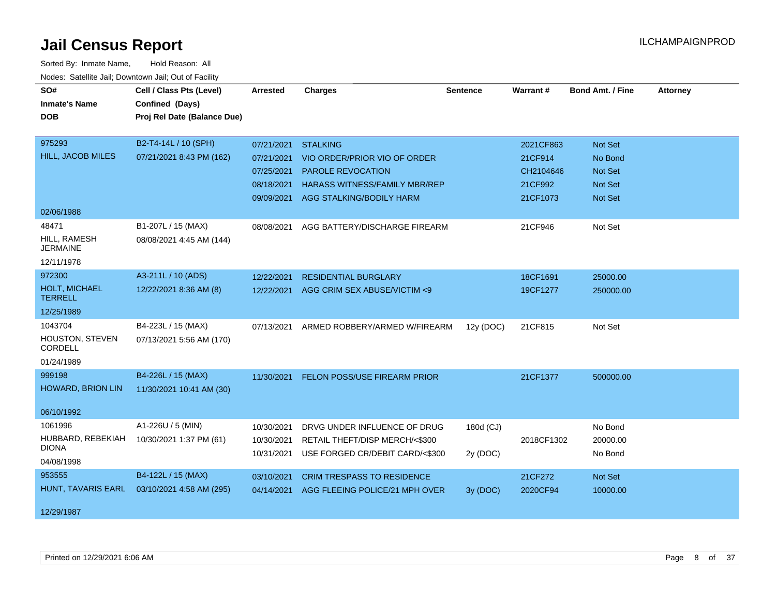| SO#                               | Cell / Class Pts (Level)    | <b>Arrested</b> | <b>Charges</b>                          | <b>Sentence</b> | Warrant#   | <b>Bond Amt. / Fine</b> | <b>Attorney</b> |
|-----------------------------------|-----------------------------|-----------------|-----------------------------------------|-----------------|------------|-------------------------|-----------------|
| <b>Inmate's Name</b>              | Confined (Days)             |                 |                                         |                 |            |                         |                 |
|                                   |                             |                 |                                         |                 |            |                         |                 |
| <b>DOB</b>                        | Proj Rel Date (Balance Due) |                 |                                         |                 |            |                         |                 |
| 975293                            | B2-T4-14L / 10 (SPH)        | 07/21/2021      | <b>STALKING</b>                         |                 | 2021CF863  | Not Set                 |                 |
| HILL, JACOB MILES                 | 07/21/2021 8:43 PM (162)    | 07/21/2021      | VIO ORDER/PRIOR VIO OF ORDER            |                 | 21CF914    | No Bond                 |                 |
|                                   |                             | 07/25/2021      | <b>PAROLE REVOCATION</b>                |                 | CH2104646  | <b>Not Set</b>          |                 |
|                                   |                             | 08/18/2021      | <b>HARASS WITNESS/FAMILY MBR/REP</b>    |                 | 21CF992    | <b>Not Set</b>          |                 |
|                                   |                             |                 | 09/09/2021 AGG STALKING/BODILY HARM     |                 | 21CF1073   | <b>Not Set</b>          |                 |
| 02/06/1988                        |                             |                 |                                         |                 |            |                         |                 |
| 48471                             | B1-207L / 15 (MAX)          | 08/08/2021      | AGG BATTERY/DISCHARGE FIREARM           |                 | 21CF946    | Not Set                 |                 |
| HILL, RAMESH<br><b>JERMAINE</b>   | 08/08/2021 4:45 AM (144)    |                 |                                         |                 |            |                         |                 |
| 12/11/1978                        |                             |                 |                                         |                 |            |                         |                 |
| 972300                            | A3-211L / 10 (ADS)          | 12/22/2021      | <b>RESIDENTIAL BURGLARY</b>             |                 | 18CF1691   | 25000.00                |                 |
| HOLT, MICHAEL<br><b>TERRELL</b>   | 12/22/2021 8:36 AM (8)      |                 | 12/22/2021 AGG CRIM SEX ABUSE/VICTIM <9 |                 | 19CF1277   | 250000.00               |                 |
| 12/25/1989                        |                             |                 |                                         |                 |            |                         |                 |
| 1043704                           | B4-223L / 15 (MAX)          | 07/13/2021      | ARMED ROBBERY/ARMED W/FIREARM           | 12y (DOC)       | 21CF815    | Not Set                 |                 |
| HOUSTON, STEVEN<br>CORDELL        | 07/13/2021 5:56 AM (170)    |                 |                                         |                 |            |                         |                 |
| 01/24/1989                        |                             |                 |                                         |                 |            |                         |                 |
| 999198                            | B4-226L / 15 (MAX)          | 11/30/2021      | FELON POSS/USE FIREARM PRIOR            |                 | 21CF1377   | 500000.00               |                 |
| HOWARD, BRION LIN                 | 11/30/2021 10:41 AM (30)    |                 |                                         |                 |            |                         |                 |
|                                   |                             |                 |                                         |                 |            |                         |                 |
| 06/10/1992                        |                             |                 |                                         |                 |            |                         |                 |
| 1061996                           | A1-226U / 5 (MIN)           | 10/30/2021      | DRVG UNDER INFLUENCE OF DRUG            | 180d (CJ)       |            | No Bond                 |                 |
| HUBBARD, REBEKIAH<br><b>DIONA</b> | 10/30/2021 1:37 PM (61)     | 10/30/2021      | RETAIL THEFT/DISP MERCH/<\$300          |                 | 2018CF1302 | 20000.00                |                 |
| 04/08/1998                        |                             | 10/31/2021      | USE FORGED CR/DEBIT CARD/<\$300         | 2y (DOC)        |            | No Bond                 |                 |
| 953555                            | B4-122L / 15 (MAX)          | 03/10/2021      | <b>CRIM TRESPASS TO RESIDENCE</b>       |                 | 21CF272    | Not Set                 |                 |
| HUNT, TAVARIS EARL                | 03/10/2021 4:58 AM (295)    | 04/14/2021      | AGG FLEEING POLICE/21 MPH OVER          | 3y (DOC)        | 2020CF94   | 10000.00                |                 |
| 12/29/1987                        |                             |                 |                                         |                 |            |                         |                 |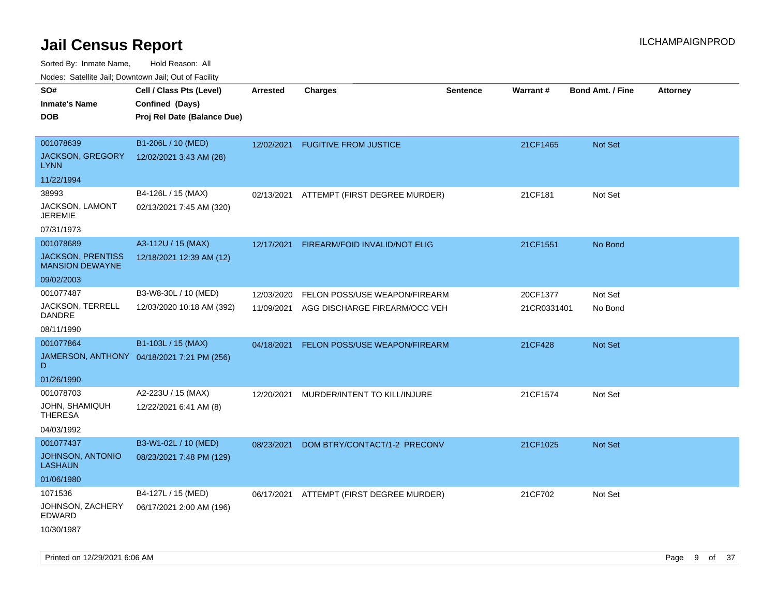Sorted By: Inmate Name, Hold Reason: All

Nodes: Satellite Jail; Downtown Jail; Out of Facility

| roaco. Calcinio dan, Downtown dan, Cal or Fability |                                            |                 |                               |                 |             |                         |                 |
|----------------------------------------------------|--------------------------------------------|-----------------|-------------------------------|-----------------|-------------|-------------------------|-----------------|
| SO#                                                | Cell / Class Pts (Level)                   | <b>Arrested</b> | <b>Charges</b>                | <b>Sentence</b> | Warrant#    | <b>Bond Amt. / Fine</b> | <b>Attorney</b> |
| <b>Inmate's Name</b>                               | Confined (Days)                            |                 |                               |                 |             |                         |                 |
| <b>DOB</b>                                         | Proj Rel Date (Balance Due)                |                 |                               |                 |             |                         |                 |
|                                                    |                                            |                 |                               |                 |             |                         |                 |
| 001078639                                          | B1-206L / 10 (MED)                         | 12/02/2021      | <b>FUGITIVE FROM JUSTICE</b>  |                 | 21CF1465    | Not Set                 |                 |
| <b>JACKSON, GREGORY</b><br><b>LYNN</b>             | 12/02/2021 3:43 AM (28)                    |                 |                               |                 |             |                         |                 |
| 11/22/1994                                         |                                            |                 |                               |                 |             |                         |                 |
| 38993                                              | B4-126L / 15 (MAX)                         | 02/13/2021      | ATTEMPT (FIRST DEGREE MURDER) |                 | 21CF181     | Not Set                 |                 |
| JACKSON, LAMONT<br><b>JEREMIE</b>                  | 02/13/2021 7:45 AM (320)                   |                 |                               |                 |             |                         |                 |
| 07/31/1973                                         |                                            |                 |                               |                 |             |                         |                 |
| 001078689                                          | A3-112U / 15 (MAX)                         | 12/17/2021      | FIREARM/FOID INVALID/NOT ELIG |                 | 21CF1551    | No Bond                 |                 |
| <b>JACKSON, PRENTISS</b><br><b>MANSION DEWAYNE</b> | 12/18/2021 12:39 AM (12)                   |                 |                               |                 |             |                         |                 |
| 09/02/2003                                         |                                            |                 |                               |                 |             |                         |                 |
| 001077487                                          | B3-W8-30L / 10 (MED)                       | 12/03/2020      | FELON POSS/USE WEAPON/FIREARM |                 | 20CF1377    | Not Set                 |                 |
| JACKSON, TERRELL<br>DANDRE                         | 12/03/2020 10:18 AM (392)                  | 11/09/2021      | AGG DISCHARGE FIREARM/OCC VEH |                 | 21CR0331401 | No Bond                 |                 |
| 08/11/1990                                         |                                            |                 |                               |                 |             |                         |                 |
| 001077864                                          | B1-103L / 15 (MAX)                         | 04/18/2021      | FELON POSS/USE WEAPON/FIREARM |                 | 21CF428     | Not Set                 |                 |
| D                                                  | JAMERSON, ANTHONY 04/18/2021 7:21 PM (256) |                 |                               |                 |             |                         |                 |
| 01/26/1990                                         |                                            |                 |                               |                 |             |                         |                 |
| 001078703                                          | A2-223U / 15 (MAX)                         | 12/20/2021      | MURDER/INTENT TO KILL/INJURE  |                 | 21CF1574    | Not Set                 |                 |
| JOHN, SHAMIQUH<br><b>THERESA</b>                   | 12/22/2021 6:41 AM (8)                     |                 |                               |                 |             |                         |                 |
| 04/03/1992                                         |                                            |                 |                               |                 |             |                         |                 |
| 001077437                                          | B3-W1-02L / 10 (MED)                       | 08/23/2021      | DOM BTRY/CONTACT/1-2 PRECONV  |                 | 21CF1025    | <b>Not Set</b>          |                 |
| JOHNSON, ANTONIO<br><b>LASHAUN</b>                 | 08/23/2021 7:48 PM (129)                   |                 |                               |                 |             |                         |                 |
| 01/06/1980                                         |                                            |                 |                               |                 |             |                         |                 |
| 1071536                                            | B4-127L / 15 (MED)                         | 06/17/2021      | ATTEMPT (FIRST DEGREE MURDER) |                 | 21CF702     | Not Set                 |                 |
| JOHNSON, ZACHERY<br>EDWARD                         | 06/17/2021 2:00 AM (196)                   |                 |                               |                 |             |                         |                 |
| 10/30/1987                                         |                                            |                 |                               |                 |             |                         |                 |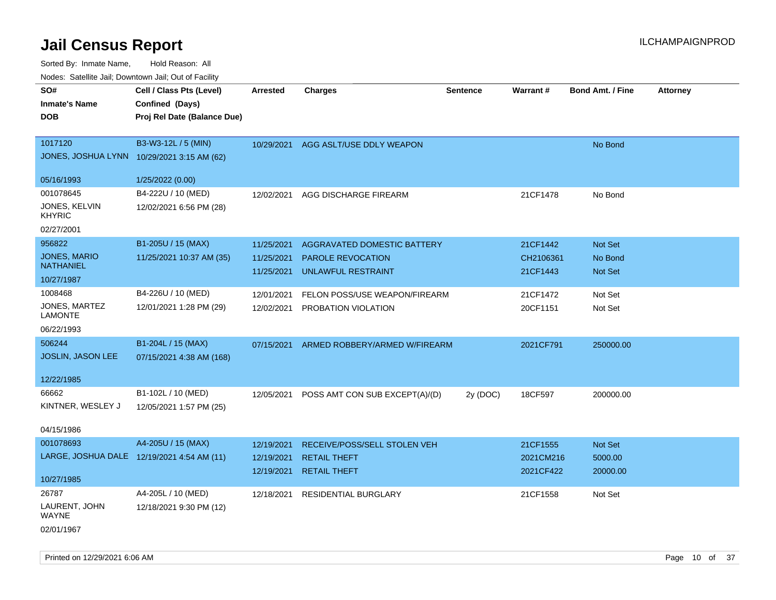| SO#                                        | Cell / Class Pts (Level)    | <b>Arrested</b> | <b>Charges</b>                 | <b>Sentence</b> | Warrant#  | <b>Bond Amt. / Fine</b> | <b>Attorney</b> |
|--------------------------------------------|-----------------------------|-----------------|--------------------------------|-----------------|-----------|-------------------------|-----------------|
| <b>Inmate's Name</b>                       | Confined (Days)             |                 |                                |                 |           |                         |                 |
| <b>DOB</b>                                 | Proj Rel Date (Balance Due) |                 |                                |                 |           |                         |                 |
|                                            |                             |                 |                                |                 |           |                         |                 |
| 1017120                                    | B3-W3-12L / 5 (MIN)         | 10/29/2021      | AGG ASLT/USE DDLY WEAPON       |                 |           | No Bond                 |                 |
| JONES, JOSHUA LYNN 10/29/2021 3:15 AM (62) |                             |                 |                                |                 |           |                         |                 |
|                                            |                             |                 |                                |                 |           |                         |                 |
| 05/16/1993                                 | 1/25/2022 (0.00)            |                 |                                |                 |           |                         |                 |
| 001078645                                  | B4-222U / 10 (MED)          | 12/02/2021      | AGG DISCHARGE FIREARM          |                 | 21CF1478  | No Bond                 |                 |
| JONES, KELVIN<br><b>KHYRIC</b>             | 12/02/2021 6:56 PM (28)     |                 |                                |                 |           |                         |                 |
| 02/27/2001                                 |                             |                 |                                |                 |           |                         |                 |
| 956822                                     | B1-205U / 15 (MAX)          | 11/25/2021      | AGGRAVATED DOMESTIC BATTERY    |                 | 21CF1442  | <b>Not Set</b>          |                 |
| <b>JONES, MARIO</b>                        | 11/25/2021 10:37 AM (35)    | 11/25/2021      | PAROLE REVOCATION              |                 | CH2106361 | No Bond                 |                 |
| <b>NATHANIEL</b>                           |                             | 11/25/2021      | UNLAWFUL RESTRAINT             |                 | 21CF1443  | Not Set                 |                 |
| 10/27/1987                                 |                             |                 |                                |                 |           |                         |                 |
| 1008468                                    | B4-226U / 10 (MED)          | 12/01/2021      | FELON POSS/USE WEAPON/FIREARM  |                 | 21CF1472  | Not Set                 |                 |
| JONES, MARTEZ<br><b>LAMONTE</b>            | 12/01/2021 1:28 PM (29)     | 12/02/2021      | PROBATION VIOLATION            |                 | 20CF1151  | Not Set                 |                 |
| 06/22/1993                                 |                             |                 |                                |                 |           |                         |                 |
| 506244                                     | B1-204L / 15 (MAX)          | 07/15/2021      | ARMED ROBBERY/ARMED W/FIREARM  |                 | 2021CF791 | 250000.00               |                 |
| <b>JOSLIN, JASON LEE</b>                   | 07/15/2021 4:38 AM (168)    |                 |                                |                 |           |                         |                 |
|                                            |                             |                 |                                |                 |           |                         |                 |
| 12/22/1985                                 |                             |                 |                                |                 |           |                         |                 |
| 66662                                      | B1-102L / 10 (MED)          | 12/05/2021      | POSS AMT CON SUB EXCEPT(A)/(D) | 2y (DOC)        | 18CF597   | 200000.00               |                 |
| KINTNER, WESLEY J                          | 12/05/2021 1:57 PM (25)     |                 |                                |                 |           |                         |                 |
|                                            |                             |                 |                                |                 |           |                         |                 |
| 04/15/1986                                 |                             |                 |                                |                 |           |                         |                 |
| 001078693                                  | A4-205U / 15 (MAX)          | 12/19/2021      | RECEIVE/POSS/SELL STOLEN VEH   |                 | 21CF1555  | <b>Not Set</b>          |                 |
| LARGE, JOSHUA DALE 12/19/2021 4:54 AM (11) |                             | 12/19/2021      | <b>RETAIL THEFT</b>            |                 | 2021CM216 | 5000.00                 |                 |
|                                            |                             | 12/19/2021      | <b>RETAIL THEFT</b>            |                 | 2021CF422 | 20000.00                |                 |
| 10/27/1985                                 |                             |                 |                                |                 |           |                         |                 |
| 26787                                      | A4-205L / 10 (MED)          | 12/18/2021      | <b>RESIDENTIAL BURGLARY</b>    |                 | 21CF1558  | Not Set                 |                 |
| LAURENT, JOHN<br>WAYNE                     | 12/18/2021 9:30 PM (12)     |                 |                                |                 |           |                         |                 |
| 02/01/1967                                 |                             |                 |                                |                 |           |                         |                 |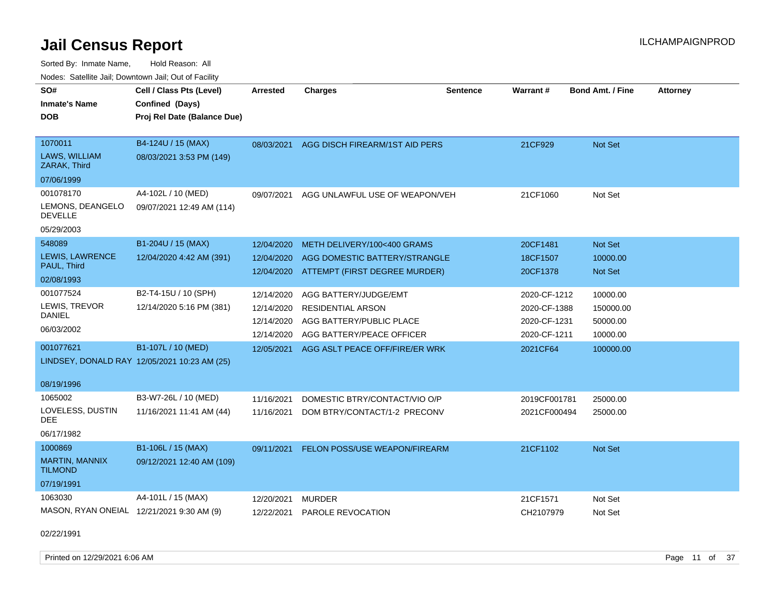Sorted By: Inmate Name, Hold Reason: All Nodes: Satellite Jail; Downtown Jail; Out of Facility

| SO#                                       | Cell / Class Pts (Level)                     | <b>Arrested</b> | <b>Charges</b>                           | <b>Sentence</b> | Warrant#     | <b>Bond Amt. / Fine</b> | <b>Attorney</b> |
|-------------------------------------------|----------------------------------------------|-----------------|------------------------------------------|-----------------|--------------|-------------------------|-----------------|
| <b>Inmate's Name</b>                      | Confined (Days)                              |                 |                                          |                 |              |                         |                 |
| <b>DOB</b>                                | Proj Rel Date (Balance Due)                  |                 |                                          |                 |              |                         |                 |
|                                           |                                              |                 |                                          |                 |              |                         |                 |
| 1070011                                   | B4-124U / 15 (MAX)                           | 08/03/2021      | AGG DISCH FIREARM/1ST AID PERS           |                 | 21CF929      | Not Set                 |                 |
| LAWS, WILLIAM<br>ZARAK, Third             | 08/03/2021 3:53 PM (149)                     |                 |                                          |                 |              |                         |                 |
| 07/06/1999                                |                                              |                 |                                          |                 |              |                         |                 |
| 001078170                                 | A4-102L / 10 (MED)                           | 09/07/2021      | AGG UNLAWFUL USE OF WEAPON/VEH           |                 | 21CF1060     | Not Set                 |                 |
| LEMONS, DEANGELO<br><b>DEVELLE</b>        | 09/07/2021 12:49 AM (114)                    |                 |                                          |                 |              |                         |                 |
| 05/29/2003                                |                                              |                 |                                          |                 |              |                         |                 |
| 548089                                    | B1-204U / 15 (MAX)                           | 12/04/2020      | METH DELIVERY/100<400 GRAMS              |                 | 20CF1481     | Not Set                 |                 |
| LEWIS, LAWRENCE                           | 12/04/2020 4:42 AM (391)                     | 12/04/2020      | AGG DOMESTIC BATTERY/STRANGLE            |                 | 18CF1507     | 10000.00                |                 |
| PAUL, Third                               |                                              |                 | 12/04/2020 ATTEMPT (FIRST DEGREE MURDER) |                 | 20CF1378     | Not Set                 |                 |
| 02/08/1993                                |                                              |                 |                                          |                 |              |                         |                 |
| 001077524                                 | B2-T4-15U / 10 (SPH)                         | 12/14/2020      | AGG BATTERY/JUDGE/EMT                    |                 | 2020-CF-1212 | 10000.00                |                 |
| LEWIS, TREVOR                             | 12/14/2020 5:16 PM (381)                     | 12/14/2020      | <b>RESIDENTIAL ARSON</b>                 |                 | 2020-CF-1388 | 150000.00               |                 |
| DANIEL                                    |                                              | 12/14/2020      | AGG BATTERY/PUBLIC PLACE                 |                 | 2020-CF-1231 | 50000.00                |                 |
| 06/03/2002                                |                                              | 12/14/2020      | AGG BATTERY/PEACE OFFICER                |                 | 2020-CF-1211 | 10000.00                |                 |
| 001077621                                 | B1-107L / 10 (MED)                           | 12/05/2021      | AGG ASLT PEACE OFF/FIRE/ER WRK           |                 | 2021CF64     | 100000.00               |                 |
|                                           | LINDSEY, DONALD RAY 12/05/2021 10:23 AM (25) |                 |                                          |                 |              |                         |                 |
|                                           |                                              |                 |                                          |                 |              |                         |                 |
| 08/19/1996                                |                                              |                 |                                          |                 |              |                         |                 |
| 1065002                                   | B3-W7-26L / 10 (MED)                         | 11/16/2021      | DOMESTIC BTRY/CONTACT/VIO O/P            |                 | 2019CF001781 | 25000.00                |                 |
| LOVELESS, DUSTIN<br>DEE.                  | 11/16/2021 11:41 AM (44)                     | 11/16/2021      | DOM BTRY/CONTACT/1-2 PRECONV             |                 | 2021CF000494 | 25000.00                |                 |
| 06/17/1982                                |                                              |                 |                                          |                 |              |                         |                 |
| 1000869                                   | B1-106L / 15 (MAX)                           | 09/11/2021      | <b>FELON POSS/USE WEAPON/FIREARM</b>     |                 | 21CF1102     | Not Set                 |                 |
| <b>MARTIN, MANNIX</b><br><b>TILMOND</b>   | 09/12/2021 12:40 AM (109)                    |                 |                                          |                 |              |                         |                 |
| 07/19/1991                                |                                              |                 |                                          |                 |              |                         |                 |
| 1063030                                   | A4-101L / 15 (MAX)                           | 12/20/2021      | <b>MURDER</b>                            |                 | 21CF1571     | Not Set                 |                 |
| MASON, RYAN ONEIAL 12/21/2021 9:30 AM (9) |                                              | 12/22/2021      | PAROLE REVOCATION                        |                 | CH2107979    | Not Set                 |                 |
|                                           |                                              |                 |                                          |                 |              |                         |                 |

02/22/1991

Printed on 12/29/2021 6:06 AM **Page 11 of 37**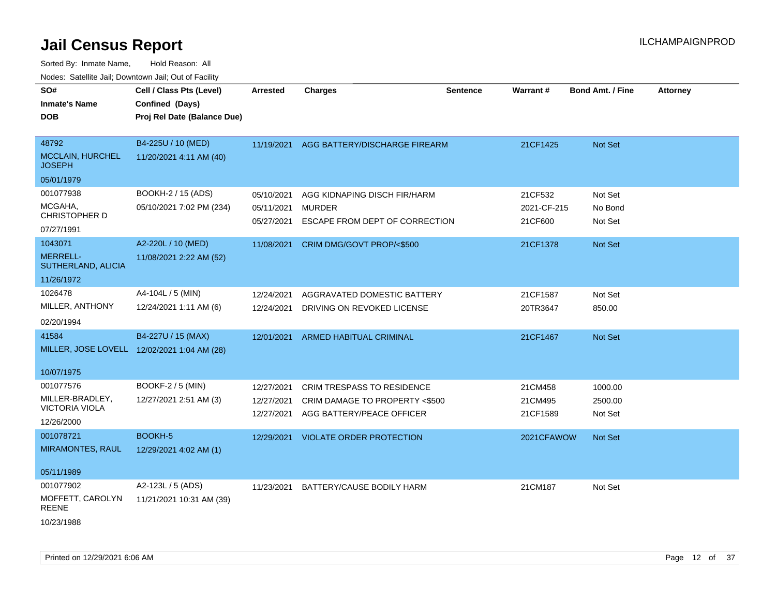| SO#<br><b>Inmate's Name</b><br><b>DOB</b>                           | Cell / Class Pts (Level)<br>Confined (Days)<br>Proj Rel Date (Balance Due) | <b>Arrested</b>                        | <b>Charges</b>                                                                                   | <b>Sentence</b> | <b>Warrant#</b>                   | <b>Bond Amt. / Fine</b>       | <b>Attorney</b> |
|---------------------------------------------------------------------|----------------------------------------------------------------------------|----------------------------------------|--------------------------------------------------------------------------------------------------|-----------------|-----------------------------------|-------------------------------|-----------------|
| 48792<br><b>MCCLAIN, HURCHEL</b><br><b>JOSEPH</b><br>05/01/1979     | B4-225U / 10 (MED)<br>11/20/2021 4:11 AM (40)                              | 11/19/2021                             | AGG BATTERY/DISCHARGE FIREARM                                                                    |                 | 21CF1425                          | Not Set                       |                 |
| 001077938<br>MCGAHA,<br>CHRISTOPHER D<br>07/27/1991                 | BOOKH-2 / 15 (ADS)<br>05/10/2021 7:02 PM (234)                             | 05/10/2021<br>05/11/2021<br>05/27/2021 | AGG KIDNAPING DISCH FIR/HARM<br><b>MURDER</b><br>ESCAPE FROM DEPT OF CORRECTION                  |                 | 21CF532<br>2021-CF-215<br>21CF600 | Not Set<br>No Bond<br>Not Set |                 |
| 1043071<br><b>MERRELL-</b><br>SUTHERLAND, ALICIA<br>11/26/1972      | A2-220L / 10 (MED)<br>11/08/2021 2:22 AM (52)                              | 11/08/2021                             | CRIM DMG/GOVT PROP/<\$500                                                                        |                 | 21CF1378                          | Not Set                       |                 |
| 1026478<br>MILLER, ANTHONY<br>02/20/1994                            | A4-104L / 5 (MIN)<br>12/24/2021 1:11 AM (6)                                | 12/24/2021<br>12/24/2021               | AGGRAVATED DOMESTIC BATTERY<br>DRIVING ON REVOKED LICENSE                                        |                 | 21CF1587<br>20TR3647              | Not Set<br>850.00             |                 |
| 41584<br>10/07/1975                                                 | B4-227U / 15 (MAX)<br>MILLER, JOSE LOVELL 12/02/2021 1:04 AM (28)          | 12/01/2021                             | ARMED HABITUAL CRIMINAL                                                                          |                 | 21CF1467                          | Not Set                       |                 |
| 001077576<br>MILLER-BRADLEY,<br><b>VICTORIA VIOLA</b><br>12/26/2000 | <b>BOOKF-2 / 5 (MIN)</b><br>12/27/2021 2:51 AM (3)                         | 12/27/2021<br>12/27/2021<br>12/27/2021 | <b>CRIM TRESPASS TO RESIDENCE</b><br>CRIM DAMAGE TO PROPERTY <\$500<br>AGG BATTERY/PEACE OFFICER |                 | 21CM458<br>21CM495<br>21CF1589    | 1000.00<br>2500.00<br>Not Set |                 |
| 001078721<br><b>MIRAMONTES, RAUL</b><br>05/11/1989                  | BOOKH-5<br>12/29/2021 4:02 AM (1)                                          | 12/29/2021                             | <b>VIOLATE ORDER PROTECTION</b>                                                                  |                 | 2021CFAWOW                        | Not Set                       |                 |
| 001077902<br>MOFFETT, CAROLYN<br><b>REENE</b><br>10/23/1988         | A2-123L / 5 (ADS)<br>11/21/2021 10:31 AM (39)                              | 11/23/2021                             | BATTERY/CAUSE BODILY HARM                                                                        |                 | 21CM187                           | Not Set                       |                 |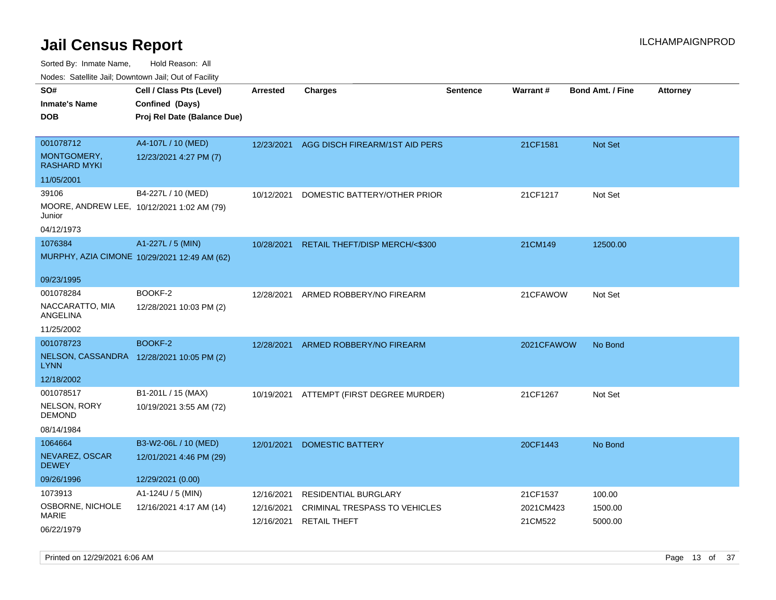| ivuutos. Saltiilit Jali, Duwilluwii Jali, Oul of Facility |                                              |            |                                |          |                 |                         |                 |
|-----------------------------------------------------------|----------------------------------------------|------------|--------------------------------|----------|-----------------|-------------------------|-----------------|
| SO#                                                       | Cell / Class Pts (Level)                     | Arrested   | <b>Charges</b>                 | Sentence | <b>Warrant#</b> | <b>Bond Amt. / Fine</b> | <b>Attorney</b> |
| <b>Inmate's Name</b>                                      | Confined (Days)                              |            |                                |          |                 |                         |                 |
| <b>DOB</b>                                                | Proj Rel Date (Balance Due)                  |            |                                |          |                 |                         |                 |
|                                                           |                                              |            |                                |          |                 |                         |                 |
| 001078712                                                 | A4-107L / 10 (MED)                           | 12/23/2021 | AGG DISCH FIREARM/1ST AID PERS |          | 21CF1581        | Not Set                 |                 |
| MONTGOMERY,<br><b>RASHARD MYKI</b>                        | 12/23/2021 4:27 PM (7)                       |            |                                |          |                 |                         |                 |
| 11/05/2001                                                |                                              |            |                                |          |                 |                         |                 |
| 39106                                                     | B4-227L / 10 (MED)                           | 10/12/2021 | DOMESTIC BATTERY/OTHER PRIOR   |          | 21CF1217        | Not Set                 |                 |
| MOORE, ANDREW LEE, 10/12/2021 1:02 AM (79)<br>Junior      |                                              |            |                                |          |                 |                         |                 |
| 04/12/1973                                                |                                              |            |                                |          |                 |                         |                 |
| 1076384                                                   | A1-227L / 5 (MIN)                            | 10/28/2021 | RETAIL THEFT/DISP MERCH/<\$300 |          | 21CM149         | 12500.00                |                 |
|                                                           | MURPHY, AZIA CIMONE 10/29/2021 12:49 AM (62) |            |                                |          |                 |                         |                 |
|                                                           |                                              |            |                                |          |                 |                         |                 |
| 09/23/1995                                                |                                              |            |                                |          |                 |                         |                 |
| 001078284                                                 | BOOKF-2                                      | 12/28/2021 | ARMED ROBBERY/NO FIREARM       |          | 21CFAWOW        | Not Set                 |                 |
| NACCARATTO, MIA<br>ANGELINA                               | 12/28/2021 10:03 PM (2)                      |            |                                |          |                 |                         |                 |
| 11/25/2002                                                |                                              |            |                                |          |                 |                         |                 |
| 001078723                                                 | BOOKF-2                                      | 12/28/2021 | ARMED ROBBERY/NO FIREARM       |          | 2021CFAWOW      | No Bond                 |                 |
| NELSON, CASSANDRA 12/28/2021 10:05 PM (2)<br><b>LYNN</b>  |                                              |            |                                |          |                 |                         |                 |
| 12/18/2002                                                |                                              |            |                                |          |                 |                         |                 |
| 001078517                                                 | B1-201L / 15 (MAX)                           | 10/19/2021 | ATTEMPT (FIRST DEGREE MURDER)  |          | 21CF1267        | Not Set                 |                 |
| NELSON, RORY<br><b>DEMOND</b>                             | 10/19/2021 3:55 AM (72)                      |            |                                |          |                 |                         |                 |
| 08/14/1984                                                |                                              |            |                                |          |                 |                         |                 |
| 1064664                                                   | B3-W2-06L / 10 (MED)                         | 12/01/2021 | <b>DOMESTIC BATTERY</b>        |          | 20CF1443        | No Bond                 |                 |
| NEVAREZ, OSCAR<br><b>DEWEY</b>                            | 12/01/2021 4:46 PM (29)                      |            |                                |          |                 |                         |                 |
| 09/26/1996                                                | 12/29/2021 (0.00)                            |            |                                |          |                 |                         |                 |
| 1073913                                                   | A1-124U / 5 (MIN)                            | 12/16/2021 | <b>RESIDENTIAL BURGLARY</b>    |          | 21CF1537        | 100.00                  |                 |
| OSBORNE, NICHOLE                                          | 12/16/2021 4:17 AM (14)                      | 12/16/2021 | CRIMINAL TRESPASS TO VEHICLES  |          | 2021CM423       | 1500.00                 |                 |
| <b>MARIE</b>                                              |                                              | 12/16/2021 | <b>RETAIL THEFT</b>            |          | 21CM522         | 5000.00                 |                 |
| 06/22/1979                                                |                                              |            |                                |          |                 |                         |                 |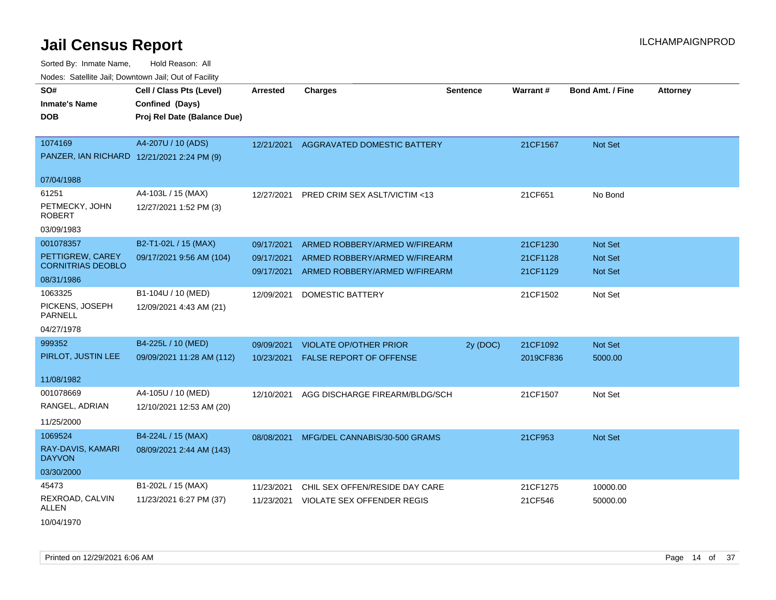| voues. Salemie Jan, Downtown Jan, Out of Facility |                             |                 |                                |                 |           |                         |                 |
|---------------------------------------------------|-----------------------------|-----------------|--------------------------------|-----------------|-----------|-------------------------|-----------------|
| SO#                                               | Cell / Class Pts (Level)    | <b>Arrested</b> | <b>Charges</b>                 | <b>Sentence</b> | Warrant#  | <b>Bond Amt. / Fine</b> | <b>Attorney</b> |
| <b>Inmate's Name</b>                              | Confined (Days)             |                 |                                |                 |           |                         |                 |
| <b>DOB</b>                                        | Proj Rel Date (Balance Due) |                 |                                |                 |           |                         |                 |
|                                                   |                             |                 |                                |                 |           |                         |                 |
| 1074169                                           | A4-207U / 10 (ADS)          | 12/21/2021      | AGGRAVATED DOMESTIC BATTERY    |                 | 21CF1567  | <b>Not Set</b>          |                 |
| PANZER, IAN RICHARD 12/21/2021 2:24 PM (9)        |                             |                 |                                |                 |           |                         |                 |
|                                                   |                             |                 |                                |                 |           |                         |                 |
| 07/04/1988                                        |                             |                 |                                |                 |           |                         |                 |
| 61251                                             | A4-103L / 15 (MAX)          | 12/27/2021      | PRED CRIM SEX ASLT/VICTIM <13  |                 | 21CF651   | No Bond                 |                 |
| PETMECKY, JOHN<br><b>ROBERT</b>                   | 12/27/2021 1:52 PM (3)      |                 |                                |                 |           |                         |                 |
| 03/09/1983                                        |                             |                 |                                |                 |           |                         |                 |
| 001078357                                         | B2-T1-02L / 15 (MAX)        | 09/17/2021      | ARMED ROBBERY/ARMED W/FIREARM  |                 | 21CF1230  | <b>Not Set</b>          |                 |
| PETTIGREW, CAREY                                  | 09/17/2021 9:56 AM (104)    | 09/17/2021      | ARMED ROBBERY/ARMED W/FIREARM  |                 | 21CF1128  | <b>Not Set</b>          |                 |
| <b>CORNITRIAS DEOBLO</b>                          |                             | 09/17/2021      | ARMED ROBBERY/ARMED W/FIREARM  |                 | 21CF1129  | Not Set                 |                 |
| 08/31/1986                                        |                             |                 |                                |                 |           |                         |                 |
| 1063325                                           | B1-104U / 10 (MED)          | 12/09/2021      | <b>DOMESTIC BATTERY</b>        |                 | 21CF1502  | Not Set                 |                 |
| PICKENS, JOSEPH<br>PARNELL                        | 12/09/2021 4:43 AM (21)     |                 |                                |                 |           |                         |                 |
| 04/27/1978                                        |                             |                 |                                |                 |           |                         |                 |
| 999352                                            | B4-225L / 10 (MED)          | 09/09/2021      | <b>VIOLATE OP/OTHER PRIOR</b>  | 2y (DOC)        | 21CF1092  | <b>Not Set</b>          |                 |
| PIRLOT, JUSTIN LEE                                | 09/09/2021 11:28 AM (112)   | 10/23/2021      | <b>FALSE REPORT OF OFFENSE</b> |                 | 2019CF836 | 5000.00                 |                 |
|                                                   |                             |                 |                                |                 |           |                         |                 |
| 11/08/1982                                        |                             |                 |                                |                 |           |                         |                 |
| 001078669                                         | A4-105U / 10 (MED)          | 12/10/2021      | AGG DISCHARGE FIREARM/BLDG/SCH |                 | 21CF1507  | Not Set                 |                 |
| RANGEL, ADRIAN                                    | 12/10/2021 12:53 AM (20)    |                 |                                |                 |           |                         |                 |
| 11/25/2000                                        |                             |                 |                                |                 |           |                         |                 |
| 1069524                                           | B4-224L / 15 (MAX)          | 08/08/2021      | MFG/DEL CANNABIS/30-500 GRAMS  |                 | 21CF953   | <b>Not Set</b>          |                 |
| RAY-DAVIS, KAMARI<br><b>DAYVON</b>                | 08/09/2021 2:44 AM (143)    |                 |                                |                 |           |                         |                 |
| 03/30/2000                                        |                             |                 |                                |                 |           |                         |                 |
| 45473                                             | B1-202L / 15 (MAX)          | 11/23/2021      | CHIL SEX OFFEN/RESIDE DAY CARE |                 | 21CF1275  | 10000.00                |                 |
| REXROAD, CALVIN<br>ALLEN                          | 11/23/2021 6:27 PM (37)     | 11/23/2021      | VIOLATE SEX OFFENDER REGIS     |                 | 21CF546   | 50000.00                |                 |
| 10/04/1970                                        |                             |                 |                                |                 |           |                         |                 |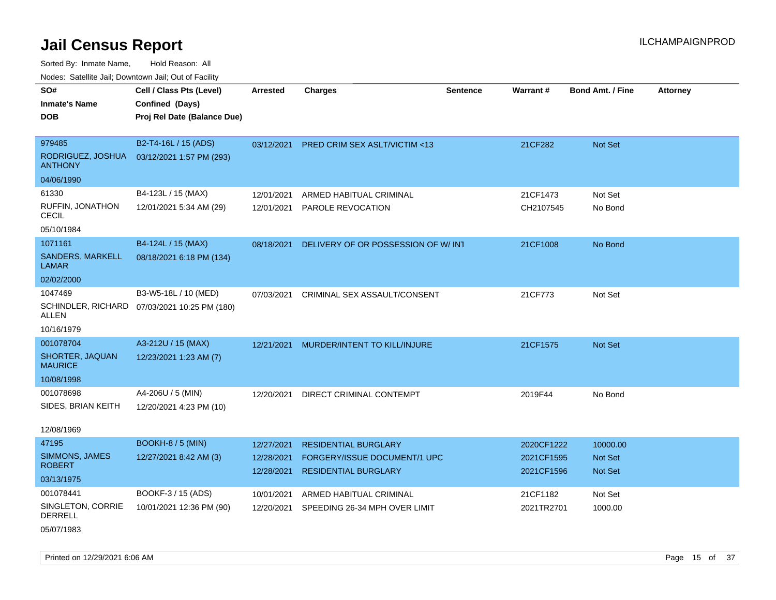Sorted By: Inmate Name, Hold Reason: All Nodes: Satellite Jail; Downtown Jail; Out of Facility

| roaco. Catolino cali, Domntonn cali, Out of Facility |                                                                            |                          |                                                             |                 |                          |                                  |                 |
|------------------------------------------------------|----------------------------------------------------------------------------|--------------------------|-------------------------------------------------------------|-----------------|--------------------------|----------------------------------|-----------------|
| SO#<br><b>Inmate's Name</b><br><b>DOB</b>            | Cell / Class Pts (Level)<br>Confined (Days)<br>Proj Rel Date (Balance Due) | <b>Arrested</b>          | <b>Charges</b>                                              | <b>Sentence</b> | Warrant#                 | <b>Bond Amt. / Fine</b>          | <b>Attorney</b> |
| 979485                                               | B2-T4-16L / 15 (ADS)                                                       | 03/12/2021               | <b>PRED CRIM SEX ASLT/VICTIM &lt;13</b>                     |                 | 21CF282                  | Not Set                          |                 |
| RODRIGUEZ, JOSHUA<br><b>ANTHONY</b>                  | 03/12/2021 1:57 PM (293)                                                   |                          |                                                             |                 |                          |                                  |                 |
| 04/06/1990                                           |                                                                            |                          |                                                             |                 |                          |                                  |                 |
| 61330                                                | B4-123L / 15 (MAX)                                                         | 12/01/2021               | ARMED HABITUAL CRIMINAL                                     |                 | 21CF1473                 | Not Set                          |                 |
| RUFFIN, JONATHON<br>CECIL                            | 12/01/2021 5:34 AM (29)                                                    | 12/01/2021               | PAROLE REVOCATION                                           |                 | CH2107545                | No Bond                          |                 |
| 05/10/1984                                           |                                                                            |                          |                                                             |                 |                          |                                  |                 |
| 1071161                                              | B4-124L / 15 (MAX)                                                         | 08/18/2021               | DELIVERY OF OR POSSESSION OF W/INT                          |                 | 21CF1008                 | No Bond                          |                 |
| <b>SANDERS, MARKELL</b><br>LAMAR                     | 08/18/2021 6:18 PM (134)                                                   |                          |                                                             |                 |                          |                                  |                 |
| 02/02/2000                                           |                                                                            |                          |                                                             |                 |                          |                                  |                 |
| 1047469                                              | B3-W5-18L / 10 (MED)                                                       | 07/03/2021               | CRIMINAL SEX ASSAULT/CONSENT                                |                 | 21CF773                  | Not Set                          |                 |
| ALLEN                                                | SCHINDLER, RICHARD 07/03/2021 10:25 PM (180)                               |                          |                                                             |                 |                          |                                  |                 |
| 10/16/1979                                           |                                                                            |                          |                                                             |                 |                          |                                  |                 |
| 001078704                                            | A3-212U / 15 (MAX)                                                         | 12/21/2021               | MURDER/INTENT TO KILL/INJURE                                |                 | 21CF1575                 | <b>Not Set</b>                   |                 |
| SHORTER, JAQUAN<br><b>MAURICE</b>                    | 12/23/2021 1:23 AM (7)                                                     |                          |                                                             |                 |                          |                                  |                 |
| 10/08/1998                                           |                                                                            |                          |                                                             |                 |                          |                                  |                 |
| 001078698                                            | A4-206U / 5 (MIN)                                                          | 12/20/2021               | DIRECT CRIMINAL CONTEMPT                                    |                 | 2019F44                  | No Bond                          |                 |
| SIDES, BRIAN KEITH                                   | 12/20/2021 4:23 PM (10)                                                    |                          |                                                             |                 |                          |                                  |                 |
| 12/08/1969                                           |                                                                            |                          |                                                             |                 |                          |                                  |                 |
| 47195                                                | <b>BOOKH-8 / 5 (MIN)</b>                                                   | 12/27/2021               | <b>RESIDENTIAL BURGLARY</b>                                 |                 | 2020CF1222               | 10000.00                         |                 |
| SIMMONS, JAMES<br><b>ROBERT</b>                      | 12/27/2021 8:42 AM (3)                                                     | 12/28/2021<br>12/28/2021 | FORGERY/ISSUE DOCUMENT/1 UPC<br><b>RESIDENTIAL BURGLARY</b> |                 | 2021CF1595<br>2021CF1596 | <b>Not Set</b><br><b>Not Set</b> |                 |
| 03/13/1975                                           |                                                                            |                          |                                                             |                 |                          |                                  |                 |
| 001078441                                            | BOOKF-3 / 15 (ADS)                                                         | 10/01/2021               | ARMED HABITUAL CRIMINAL                                     |                 | 21CF1182                 | Not Set                          |                 |
| SINGLETON, CORRIE<br><b>DERRELL</b>                  | 10/01/2021 12:36 PM (90)                                                   | 12/20/2021               | SPEEDING 26-34 MPH OVER LIMIT                               |                 | 2021TR2701               | 1000.00                          |                 |

05/07/1983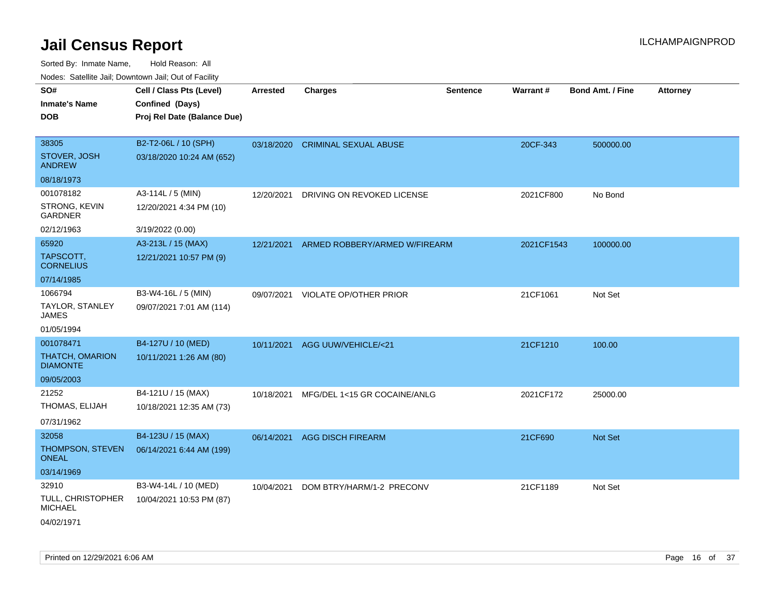| rouco. Calcillo Jali, Downtown Jali, Out of Facility |                             |                 |                                          |                 |            |                         |                 |
|------------------------------------------------------|-----------------------------|-----------------|------------------------------------------|-----------------|------------|-------------------------|-----------------|
| SO#                                                  | Cell / Class Pts (Level)    | <b>Arrested</b> | <b>Charges</b>                           | <b>Sentence</b> | Warrant#   | <b>Bond Amt. / Fine</b> | <b>Attorney</b> |
| Inmate's Name                                        | Confined (Days)             |                 |                                          |                 |            |                         |                 |
| DOB                                                  | Proj Rel Date (Balance Due) |                 |                                          |                 |            |                         |                 |
|                                                      |                             |                 |                                          |                 |            |                         |                 |
| 38305                                                | B2-T2-06L / 10 (SPH)        |                 | 03/18/2020 CRIMINAL SEXUAL ABUSE         |                 | 20CF-343   | 500000.00               |                 |
| STOVER, JOSH<br><b>ANDREW</b>                        | 03/18/2020 10:24 AM (652)   |                 |                                          |                 |            |                         |                 |
| 08/18/1973                                           |                             |                 |                                          |                 |            |                         |                 |
| 001078182                                            | A3-114L / 5 (MIN)           | 12/20/2021      | DRIVING ON REVOKED LICENSE               |                 | 2021CF800  | No Bond                 |                 |
| STRONG, KEVIN<br>GARDNER                             | 12/20/2021 4:34 PM (10)     |                 |                                          |                 |            |                         |                 |
| 02/12/1963                                           | 3/19/2022 (0.00)            |                 |                                          |                 |            |                         |                 |
| 65920                                                | A3-213L / 15 (MAX)          |                 | 12/21/2021 ARMED ROBBERY/ARMED W/FIREARM |                 | 2021CF1543 | 100000.00               |                 |
| TAPSCOTT.<br><b>CORNELIUS</b>                        | 12/21/2021 10:57 PM (9)     |                 |                                          |                 |            |                         |                 |
| 07/14/1985                                           |                             |                 |                                          |                 |            |                         |                 |
| 1066794                                              | B3-W4-16L / 5 (MIN)         |                 | 09/07/2021 VIOLATE OP/OTHER PRIOR        |                 | 21CF1061   | Not Set                 |                 |
| TAYLOR, STANLEY<br>JAMES                             | 09/07/2021 7:01 AM (114)    |                 |                                          |                 |            |                         |                 |
| 01/05/1994                                           |                             |                 |                                          |                 |            |                         |                 |
| 001078471                                            | B4-127U / 10 (MED)          |                 | 10/11/2021 AGG UUW/VEHICLE/<21           |                 | 21CF1210   | 100.00                  |                 |
| THATCH, OMARION<br><b>DIAMONTE</b>                   | 10/11/2021 1:26 AM (80)     |                 |                                          |                 |            |                         |                 |
| 09/05/2003                                           |                             |                 |                                          |                 |            |                         |                 |
| 21252                                                | B4-121U / 15 (MAX)          | 10/18/2021      | MFG/DEL 1<15 GR COCAINE/ANLG             |                 | 2021CF172  | 25000.00                |                 |
| THOMAS, ELIJAH                                       | 10/18/2021 12:35 AM (73)    |                 |                                          |                 |            |                         |                 |
| 07/31/1962                                           |                             |                 |                                          |                 |            |                         |                 |
| 32058                                                | B4-123U / 15 (MAX)          |                 | 06/14/2021 AGG DISCH FIREARM             |                 | 21CF690    | <b>Not Set</b>          |                 |
| THOMPSON, STEVEN<br>ONEAL                            | 06/14/2021 6:44 AM (199)    |                 |                                          |                 |            |                         |                 |
| 03/14/1969                                           |                             |                 |                                          |                 |            |                         |                 |
| 32910                                                | B3-W4-14L / 10 (MED)        | 10/04/2021      | DOM BTRY/HARM/1-2 PRECONV                |                 | 21CF1189   | Not Set                 |                 |
| TULL, CHRISTOPHER<br>MICHAEL                         | 10/04/2021 10:53 PM (87)    |                 |                                          |                 |            |                         |                 |
| 04/02/1971                                           |                             |                 |                                          |                 |            |                         |                 |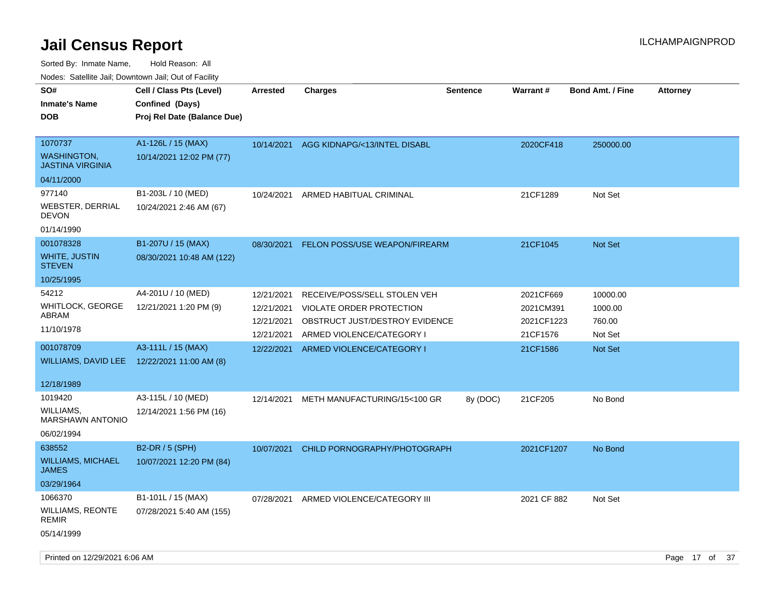Sorted By: Inmate Name, Hold Reason: All

Nodes: Satellite Jail; Downtown Jail; Out of Facility

| SO#<br><b>Inmate's Name</b><br><b>DOB</b>                | Cell / Class Pts (Level)<br>Confined (Days)<br>Proj Rel Date (Balance Due) | <b>Arrested</b>          | <b>Charges</b>                                             | <b>Sentence</b> | <b>Warrant#</b>         | <b>Bond Amt. / Fine</b> | <b>Attorney</b> |
|----------------------------------------------------------|----------------------------------------------------------------------------|--------------------------|------------------------------------------------------------|-----------------|-------------------------|-------------------------|-----------------|
| 1070737<br><b>WASHINGTON,</b><br><b>JASTINA VIRGINIA</b> | A1-126L / 15 (MAX)<br>10/14/2021 12:02 PM (77)                             | 10/14/2021               | AGG KIDNAPG/<13/INTEL DISABL                               |                 | 2020CF418               | 250000.00               |                 |
| 04/11/2000                                               |                                                                            |                          |                                                            |                 |                         |                         |                 |
| 977140                                                   | B1-203L / 10 (MED)                                                         | 10/24/2021               | ARMED HABITUAL CRIMINAL                                    |                 | 21CF1289                | Not Set                 |                 |
| <b>WEBSTER, DERRIAL</b><br><b>DEVON</b>                  | 10/24/2021 2:46 AM (67)                                                    |                          |                                                            |                 |                         |                         |                 |
| 01/14/1990                                               |                                                                            |                          |                                                            |                 |                         |                         |                 |
| 001078328                                                | B1-207U / 15 (MAX)                                                         | 08/30/2021               | <b>FELON POSS/USE WEAPON/FIREARM</b>                       |                 | 21CF1045                | <b>Not Set</b>          |                 |
| WHITE, JUSTIN<br><b>STEVEN</b>                           | 08/30/2021 10:48 AM (122)                                                  |                          |                                                            |                 |                         |                         |                 |
| 10/25/1995                                               |                                                                            |                          |                                                            |                 |                         |                         |                 |
| 54212                                                    | A4-201U / 10 (MED)                                                         | 12/21/2021               | RECEIVE/POSS/SELL STOLEN VEH                               |                 | 2021CF669               | 10000.00                |                 |
| WHITLOCK, GEORGE<br>ABRAM                                | 12/21/2021 1:20 PM (9)                                                     | 12/21/2021<br>12/21/2021 | VIOLATE ORDER PROTECTION<br>OBSTRUCT JUST/DESTROY EVIDENCE |                 | 2021CM391<br>2021CF1223 | 1000.00<br>760.00       |                 |
| 11/10/1978                                               |                                                                            | 12/21/2021               | ARMED VIOLENCE/CATEGORY I                                  |                 | 21CF1576                | Not Set                 |                 |
| 001078709                                                | A3-111L / 15 (MAX)                                                         | 12/22/2021               | ARMED VIOLENCE/CATEGORY I                                  |                 | 21CF1586                | <b>Not Set</b>          |                 |
| WILLIAMS, DAVID LEE                                      | 12/22/2021 11:00 AM (8)                                                    |                          |                                                            |                 |                         |                         |                 |
| 12/18/1989                                               |                                                                            |                          |                                                            |                 |                         |                         |                 |
| 1019420                                                  | A3-115L / 10 (MED)                                                         | 12/14/2021               | METH MANUFACTURING/15<100 GR                               | 8y (DOC)        | 21CF205                 | No Bond                 |                 |
| <b>WILLIAMS,</b><br><b>MARSHAWN ANTONIO</b>              | 12/14/2021 1:56 PM (16)                                                    |                          |                                                            |                 |                         |                         |                 |
| 06/02/1994                                               |                                                                            |                          |                                                            |                 |                         |                         |                 |
| 638552                                                   | B2-DR / 5 (SPH)                                                            | 10/07/2021               | CHILD PORNOGRAPHY/PHOTOGRAPH                               |                 | 2021CF1207              | No Bond                 |                 |
| <b>WILLIAMS, MICHAEL</b><br><b>JAMES</b>                 | 10/07/2021 12:20 PM (84)                                                   |                          |                                                            |                 |                         |                         |                 |
| 03/29/1964                                               |                                                                            |                          |                                                            |                 |                         |                         |                 |
| 1066370                                                  | B1-101L / 15 (MAX)                                                         | 07/28/2021               | ARMED VIOLENCE/CATEGORY III                                |                 | 2021 CF 882             | Not Set                 |                 |
| <b>WILLIAMS, REONTE</b><br>REMIR                         | 07/28/2021 5:40 AM (155)                                                   |                          |                                                            |                 |                         |                         |                 |
| 05/14/1999                                               |                                                                            |                          |                                                            |                 |                         |                         |                 |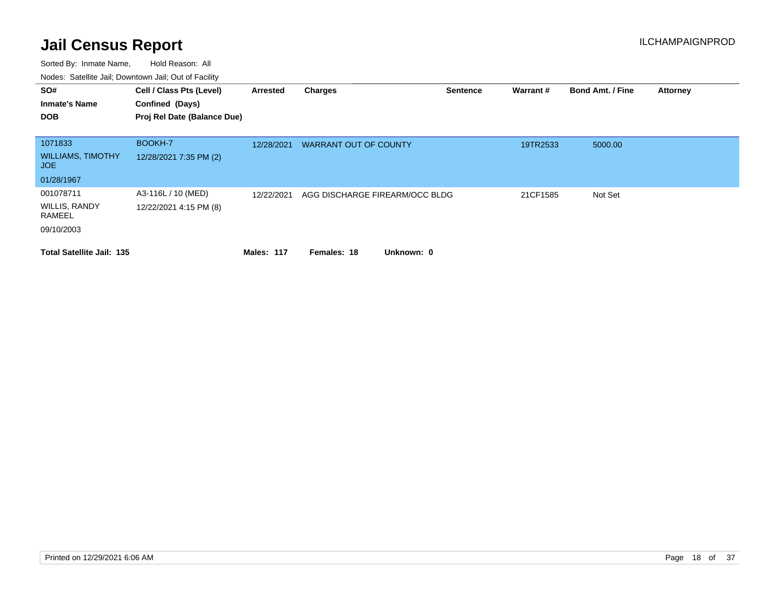| SO#<br><b>Inmate's Name</b><br><b>DOB</b>                       | Cell / Class Pts (Level)<br>Confined (Days)<br>Proj Rel Date (Balance Due) | Arrested          | <b>Charges</b>                 | <b>Sentence</b> | Warrant # | <b>Bond Amt. / Fine</b> | <b>Attorney</b> |
|-----------------------------------------------------------------|----------------------------------------------------------------------------|-------------------|--------------------------------|-----------------|-----------|-------------------------|-----------------|
| 1071833<br><b>WILLIAMS, TIMOTHY</b><br><b>JOE</b><br>01/28/1967 | BOOKH-7<br>12/28/2021 7:35 PM (2)                                          | 12/28/2021        | <b>WARRANT OUT OF COUNTY</b>   |                 | 19TR2533  | 5000.00                 |                 |
| 001078711<br><b>WILLIS, RANDY</b><br>RAMEEL<br>09/10/2003       | A3-116L / 10 (MED)<br>12/22/2021 4:15 PM (8)                               | 12/22/2021        | AGG DISCHARGE FIREARM/OCC BLDG |                 | 21CF1585  | Not Set                 |                 |
| <b>Total Satellite Jail: 135</b>                                |                                                                            | <b>Males: 117</b> | Unknown: 0<br>Females: 18      |                 |           |                         |                 |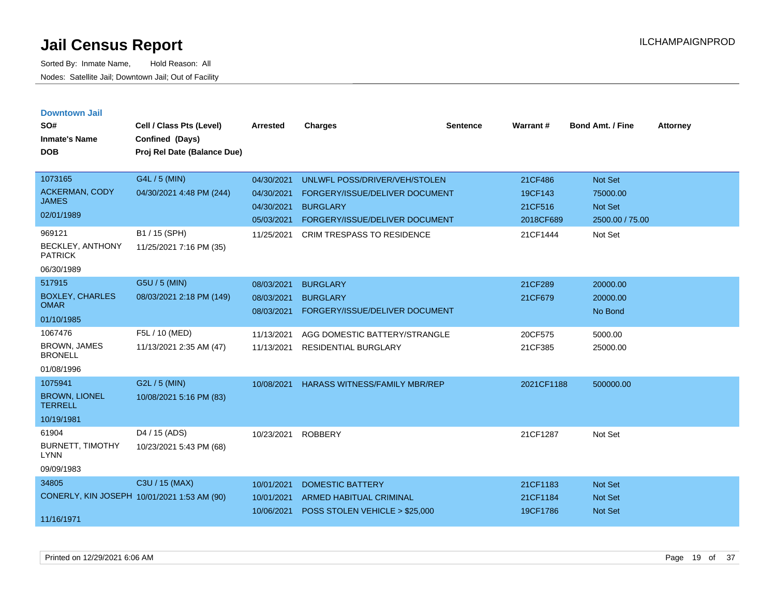| <b>Downtown Jail</b><br>SO#<br><b>Inmate's Name</b><br><b>DOB</b>        | Cell / Class Pts (Level)<br>Confined (Days)<br>Proj Rel Date (Balance Due) | Arrested                                                           | <b>Charges</b>                                                                                                                                            | <b>Sentence</b> | Warrant#                                               | <b>Bond Amt. / Fine</b>                                             | <b>Attorney</b> |
|--------------------------------------------------------------------------|----------------------------------------------------------------------------|--------------------------------------------------------------------|-----------------------------------------------------------------------------------------------------------------------------------------------------------|-----------------|--------------------------------------------------------|---------------------------------------------------------------------|-----------------|
| 1073165<br><b>ACKERMAN, CODY</b><br><b>JAMES</b><br>02/01/1989<br>969121 | G4L / 5 (MIN)<br>04/30/2021 4:48 PM (244)<br>B1 / 15 (SPH)                 | 04/30/2021<br>04/30/2021<br>04/30/2021<br>05/03/2021<br>11/25/2021 | UNLWFL POSS/DRIVER/VEH/STOLEN<br>FORGERY/ISSUE/DELIVER DOCUMENT<br><b>BURGLARY</b><br>FORGERY/ISSUE/DELIVER DOCUMENT<br><b>CRIM TRESPASS TO RESIDENCE</b> |                 | 21CF486<br>19CF143<br>21CF516<br>2018CF689<br>21CF1444 | <b>Not Set</b><br>75000.00<br>Not Set<br>2500.00 / 75.00<br>Not Set |                 |
| BECKLEY, ANTHONY<br><b>PATRICK</b><br>06/30/1989                         | 11/25/2021 7:16 PM (35)                                                    |                                                                    |                                                                                                                                                           |                 |                                                        |                                                                     |                 |
| 517915<br><b>BOXLEY, CHARLES</b><br><b>OMAR</b><br>01/10/1985            | G5U / 5 (MIN)<br>08/03/2021 2:18 PM (149)                                  | 08/03/2021<br>08/03/2021<br>08/03/2021                             | <b>BURGLARY</b><br><b>BURGLARY</b><br>FORGERY/ISSUE/DELIVER DOCUMENT                                                                                      |                 | 21CF289<br>21CF679                                     | 20000.00<br>20000.00<br>No Bond                                     |                 |
| 1067476<br><b>BROWN, JAMES</b><br><b>BRONELL</b><br>01/08/1996           | F5L / 10 (MED)<br>11/13/2021 2:35 AM (47)                                  | 11/13/2021<br>11/13/2021                                           | AGG DOMESTIC BATTERY/STRANGLE<br><b>RESIDENTIAL BURGLARY</b>                                                                                              |                 | 20CF575<br>21CF385                                     | 5000.00<br>25000.00                                                 |                 |
| 1075941<br><b>BROWN, LIONEL</b><br><b>TERRELL</b><br>10/19/1981          | G2L / 5 (MIN)<br>10/08/2021 5:16 PM (83)                                   | 10/08/2021                                                         | <b>HARASS WITNESS/FAMILY MBR/REP</b>                                                                                                                      |                 | 2021CF1188                                             | 500000.00                                                           |                 |
| 61904<br><b>BURNETT, TIMOTHY</b><br><b>LYNN</b><br>09/09/1983            | D4 / 15 (ADS)<br>10/23/2021 5:43 PM (68)                                   | 10/23/2021                                                         | <b>ROBBERY</b>                                                                                                                                            |                 | 21CF1287                                               | Not Set                                                             |                 |
| 34805<br>CONERLY, KIN JOSEPH 10/01/2021 1:53 AM (90)<br>11/16/1971       | C3U / 15 (MAX)                                                             | 10/01/2021<br>10/01/2021<br>10/06/2021                             | <b>DOMESTIC BATTERY</b><br><b>ARMED HABITUAL CRIMINAL</b><br>POSS STOLEN VEHICLE > \$25,000                                                               |                 | 21CF1183<br>21CF1184<br>19CF1786                       | <b>Not Set</b><br><b>Not Set</b><br><b>Not Set</b>                  |                 |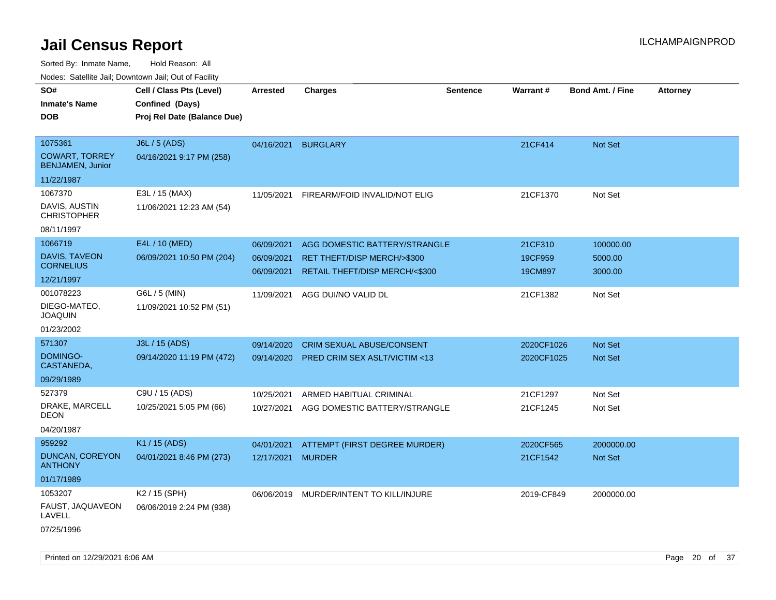|                                                  | Noues. Salenne Jan, Downtown Jan, Out of Facility |            |                                  |                 |                 |                         |                 |
|--------------------------------------------------|---------------------------------------------------|------------|----------------------------------|-----------------|-----------------|-------------------------|-----------------|
| SO#                                              | Cell / Class Pts (Level)                          | Arrested   | <b>Charges</b>                   | <b>Sentence</b> | <b>Warrant#</b> | <b>Bond Amt. / Fine</b> | <b>Attorney</b> |
| <b>Inmate's Name</b>                             | Confined (Days)                                   |            |                                  |                 |                 |                         |                 |
| <b>DOB</b>                                       | Proj Rel Date (Balance Due)                       |            |                                  |                 |                 |                         |                 |
|                                                  |                                                   |            |                                  |                 |                 |                         |                 |
| 1075361                                          | J6L / 5 (ADS)                                     | 04/16/2021 | <b>BURGLARY</b>                  |                 | 21CF414         | <b>Not Set</b>          |                 |
| <b>COWART, TORREY</b><br><b>BENJAMEN, Junior</b> | 04/16/2021 9:17 PM (258)                          |            |                                  |                 |                 |                         |                 |
| 11/22/1987                                       |                                                   |            |                                  |                 |                 |                         |                 |
| 1067370                                          | E3L / 15 (MAX)                                    | 11/05/2021 | FIREARM/FOID INVALID/NOT ELIG    |                 | 21CF1370        | Not Set                 |                 |
| DAVIS, AUSTIN<br><b>CHRISTOPHER</b>              | 11/06/2021 12:23 AM (54)                          |            |                                  |                 |                 |                         |                 |
| 08/11/1997                                       |                                                   |            |                                  |                 |                 |                         |                 |
| 1066719                                          | E4L / 10 (MED)                                    | 06/09/2021 | AGG DOMESTIC BATTERY/STRANGLE    |                 | 21CF310         | 100000.00               |                 |
| DAVIS, TAVEON                                    | 06/09/2021 10:50 PM (204)                         | 06/09/2021 | RET THEFT/DISP MERCH/>\$300      |                 | 19CF959         | 5000.00                 |                 |
| <b>CORNELIUS</b>                                 |                                                   | 06/09/2021 | RETAIL THEFT/DISP MERCH/<\$300   |                 | 19CM897         | 3000.00                 |                 |
| 12/21/1997                                       |                                                   |            |                                  |                 |                 |                         |                 |
| 001078223                                        | G6L / 5 (MIN)                                     | 11/09/2021 | AGG DUI/NO VALID DL              |                 | 21CF1382        | Not Set                 |                 |
| DIEGO-MATEO.<br><b>JOAQUIN</b>                   | 11/09/2021 10:52 PM (51)                          |            |                                  |                 |                 |                         |                 |
| 01/23/2002                                       |                                                   |            |                                  |                 |                 |                         |                 |
| 571307                                           | J3L / 15 (ADS)                                    | 09/14/2020 | <b>CRIM SEXUAL ABUSE/CONSENT</b> |                 | 2020CF1026      | Not Set                 |                 |
| DOMINGO-<br>CASTANEDA,                           | 09/14/2020 11:19 PM (472)                         | 09/14/2020 | PRED CRIM SEX ASLT/VICTIM <13    |                 | 2020CF1025      | <b>Not Set</b>          |                 |
| 09/29/1989                                       |                                                   |            |                                  |                 |                 |                         |                 |
| 527379                                           | C9U / 15 (ADS)                                    | 10/25/2021 | ARMED HABITUAL CRIMINAL          |                 | 21CF1297        | Not Set                 |                 |
| DRAKE, MARCELL<br>DEON                           | 10/25/2021 5:05 PM (66)                           | 10/27/2021 | AGG DOMESTIC BATTERY/STRANGLE    |                 | 21CF1245        | Not Set                 |                 |
| 04/20/1987                                       |                                                   |            |                                  |                 |                 |                         |                 |
| 959292                                           | K1 / 15 (ADS)                                     | 04/01/2021 | ATTEMPT (FIRST DEGREE MURDER)    |                 | 2020CF565       | 2000000.00              |                 |
| DUNCAN, COREYON<br><b>ANTHONY</b>                | 04/01/2021 8:46 PM (273)                          | 12/17/2021 | <b>MURDER</b>                    |                 | 21CF1542        | Not Set                 |                 |
| 01/17/1989                                       |                                                   |            |                                  |                 |                 |                         |                 |
| 1053207                                          | K2 / 15 (SPH)                                     | 06/06/2019 | MURDER/INTENT TO KILL/INJURE     |                 | 2019-CF849      | 2000000.00              |                 |
| FAUST, JAQUAVEON<br>LAVELL                       | 06/06/2019 2:24 PM (938)                          |            |                                  |                 |                 |                         |                 |
| 07/25/1996                                       |                                                   |            |                                  |                 |                 |                         |                 |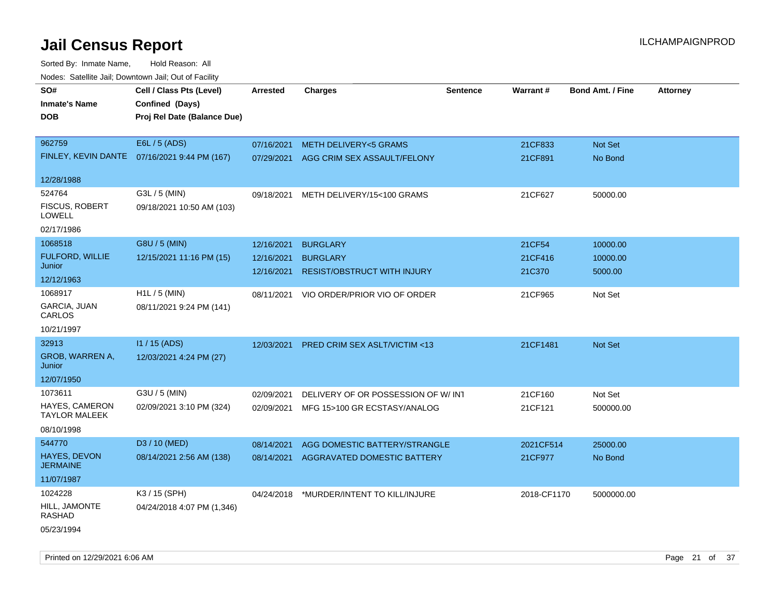| roaco. Catolino dall, Downtown dall, Out of Fability |                                              |                 |                                          |                 |             |                         |                 |
|------------------------------------------------------|----------------------------------------------|-----------------|------------------------------------------|-----------------|-------------|-------------------------|-----------------|
| SO#<br><b>Inmate's Name</b>                          | Cell / Class Pts (Level)<br>Confined (Days)  | <b>Arrested</b> | <b>Charges</b>                           | <b>Sentence</b> | Warrant#    | <b>Bond Amt. / Fine</b> | <b>Attorney</b> |
| <b>DOB</b>                                           | Proj Rel Date (Balance Due)                  |                 |                                          |                 |             |                         |                 |
| 962759                                               | E6L / 5 (ADS)                                | 07/16/2021      | METH DELIVERY<5 GRAMS                    |                 | 21CF833     | Not Set                 |                 |
|                                                      | FINLEY, KEVIN DANTE 07/16/2021 9:44 PM (167) | 07/29/2021      | AGG CRIM SEX ASSAULT/FELONY              |                 | 21CF891     | No Bond                 |                 |
| 12/28/1988                                           |                                              |                 |                                          |                 |             |                         |                 |
| 524764<br><b>FISCUS, ROBERT</b>                      | G3L / 5 (MIN)                                | 09/18/2021      | METH DELIVERY/15<100 GRAMS               |                 | 21CF627     | 50000.00                |                 |
| LOWELL                                               | 09/18/2021 10:50 AM (103)                    |                 |                                          |                 |             |                         |                 |
| 02/17/1986                                           |                                              |                 |                                          |                 |             |                         |                 |
| 1068518                                              | G8U / 5 (MIN)                                | 12/16/2021      | <b>BURGLARY</b>                          |                 | 21CF54      | 10000.00                |                 |
| <b>FULFORD, WILLIE</b><br>Junior                     | 12/15/2021 11:16 PM (15)                     | 12/16/2021      | <b>BURGLARY</b>                          |                 | 21CF416     | 10000.00                |                 |
| 12/12/1963                                           |                                              | 12/16/2021      | <b>RESIST/OBSTRUCT WITH INJURY</b>       |                 | 21C370      | 5000.00                 |                 |
| 1068917                                              | H1L / 5 (MIN)                                | 08/11/2021      | VIO ORDER/PRIOR VIO OF ORDER             |                 | 21CF965     | Not Set                 |                 |
| GARCIA, JUAN<br>CARLOS                               | 08/11/2021 9:24 PM (141)                     |                 |                                          |                 |             |                         |                 |
| 10/21/1997                                           |                                              |                 |                                          |                 |             |                         |                 |
| 32913                                                | I1 / 15 (ADS)                                | 12/03/2021      | PRED CRIM SEX ASLT/VICTIM <13            |                 | 21CF1481    | <b>Not Set</b>          |                 |
| <b>GROB, WARREN A,</b><br>Junior                     | 12/03/2021 4:24 PM (27)                      |                 |                                          |                 |             |                         |                 |
| 12/07/1950                                           |                                              |                 |                                          |                 |             |                         |                 |
| 1073611                                              | G3U / 5 (MIN)                                | 02/09/2021      | DELIVERY OF OR POSSESSION OF W/INT       |                 | 21CF160     | Not Set                 |                 |
| HAYES, CAMERON<br><b>TAYLOR MALEEK</b>               | 02/09/2021 3:10 PM (324)                     | 02/09/2021      | MFG 15>100 GR ECSTASY/ANALOG             |                 | 21CF121     | 500000.00               |                 |
| 08/10/1998                                           |                                              |                 |                                          |                 |             |                         |                 |
| 544770                                               | D3 / 10 (MED)                                | 08/14/2021      | AGG DOMESTIC BATTERY/STRANGLE            |                 | 2021CF514   | 25000.00                |                 |
| HAYES, DEVON<br><b>JERMAINE</b>                      | 08/14/2021 2:56 AM (138)                     | 08/14/2021      | AGGRAVATED DOMESTIC BATTERY              |                 | 21CF977     | No Bond                 |                 |
| 11/07/1987                                           |                                              |                 |                                          |                 |             |                         |                 |
| 1024228                                              | K3 / 15 (SPH)                                |                 | 04/24/2018 *MURDER/INTENT TO KILL/INJURE |                 | 2018-CF1170 | 5000000.00              |                 |
| HILL, JAMONTE<br>RASHAD                              | 04/24/2018 4:07 PM (1,346)                   |                 |                                          |                 |             |                         |                 |
| 05/23/1994                                           |                                              |                 |                                          |                 |             |                         |                 |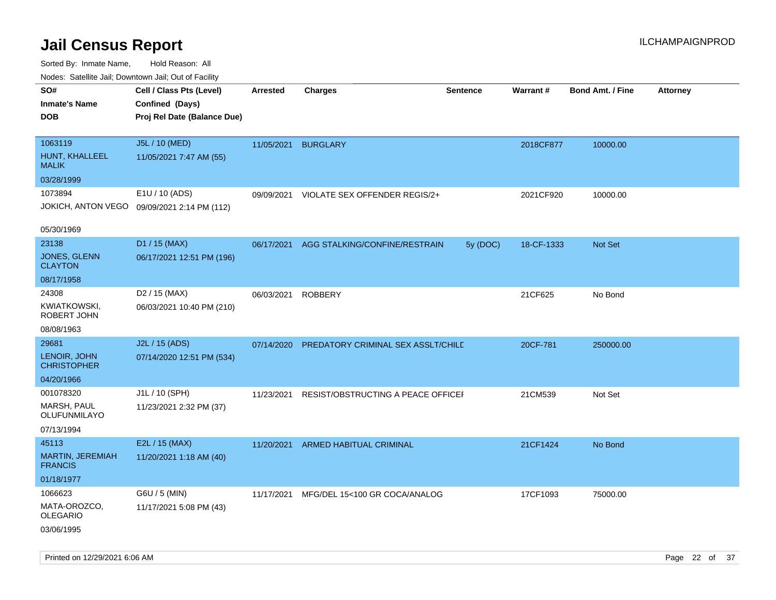| Nudes. Satellite Jali, Downtown Jali, Out of Facility |                                             |                 |                                    |                 |            |                         |                 |
|-------------------------------------------------------|---------------------------------------------|-----------------|------------------------------------|-----------------|------------|-------------------------|-----------------|
| SO#<br>Inmate's Name                                  | Cell / Class Pts (Level)<br>Confined (Days) | <b>Arrested</b> | <b>Charges</b>                     | <b>Sentence</b> | Warrant#   | <b>Bond Amt. / Fine</b> | <b>Attorney</b> |
| <b>DOB</b>                                            | Proj Rel Date (Balance Due)                 |                 |                                    |                 |            |                         |                 |
| 1063119                                               | J5L / 10 (MED)                              | 11/05/2021      | <b>BURGLARY</b>                    |                 | 2018CF877  | 10000.00                |                 |
| HUNT, KHALLEEL<br>MALIK                               | 11/05/2021 7:47 AM (55)                     |                 |                                    |                 |            |                         |                 |
| 03/28/1999                                            |                                             |                 |                                    |                 |            |                         |                 |
| 1073894                                               | E1U / 10 (ADS)                              | 09/09/2021      | VIOLATE SEX OFFENDER REGIS/2+      |                 | 2021CF920  | 10000.00                |                 |
|                                                       | JOKICH, ANTON VEGO 09/09/2021 2:14 PM (112) |                 |                                    |                 |            |                         |                 |
| 05/30/1969                                            |                                             |                 |                                    |                 |            |                         |                 |
| 23138                                                 | D1 / 15 (MAX)                               | 06/17/2021      | AGG STALKING/CONFINE/RESTRAIN      | 5y (DOC)        | 18-CF-1333 | <b>Not Set</b>          |                 |
| <b>JONES, GLENN</b><br>CLAYTON                        | 06/17/2021 12:51 PM (196)                   |                 |                                    |                 |            |                         |                 |
| 08/17/1958                                            |                                             |                 |                                    |                 |            |                         |                 |
| 24308                                                 | D <sub>2</sub> / 15 (MAX)                   | 06/03/2021      | ROBBERY                            |                 | 21CF625    | No Bond                 |                 |
| KWIATKOWSKI,<br>ROBERT JOHN                           | 06/03/2021 10:40 PM (210)                   |                 |                                    |                 |            |                         |                 |
| 08/08/1963                                            |                                             |                 |                                    |                 |            |                         |                 |
| 29681                                                 | J2L / 15 (ADS)                              | 07/14/2020      | PREDATORY CRIMINAL SEX ASSLT/CHILD |                 | 20CF-781   | 250000.00               |                 |
| LENOIR, JOHN<br><b>CHRISTOPHER</b>                    | 07/14/2020 12:51 PM (534)                   |                 |                                    |                 |            |                         |                 |
| 04/20/1966                                            |                                             |                 |                                    |                 |            |                         |                 |
| 001078320                                             | J1L / 10 (SPH)                              | 11/23/2021      | RESIST/OBSTRUCTING A PEACE OFFICEF |                 | 21CM539    | Not Set                 |                 |
| MARSH, PAUL<br>OLUFUNMILAYO                           | 11/23/2021 2:32 PM (37)                     |                 |                                    |                 |            |                         |                 |
| 07/13/1994                                            |                                             |                 |                                    |                 |            |                         |                 |
| 45113                                                 | E2L / 15 (MAX)                              |                 | 11/20/2021 ARMED HABITUAL CRIMINAL |                 | 21CF1424   | No Bond                 |                 |
| <b>MARTIN, JEREMIAH</b><br><b>FRANCIS</b>             | 11/20/2021 1:18 AM (40)                     |                 |                                    |                 |            |                         |                 |
| 01/18/1977                                            |                                             |                 |                                    |                 |            |                         |                 |
| 1066623                                               | G6U / 5 (MIN)                               | 11/17/2021      | MFG/DEL 15<100 GR COCA/ANALOG      |                 | 17CF1093   | 75000.00                |                 |
| MATA-OROZCO.<br>OLEGARIO                              | 11/17/2021 5:08 PM (43)                     |                 |                                    |                 |            |                         |                 |
| 03/06/1995                                            |                                             |                 |                                    |                 |            |                         |                 |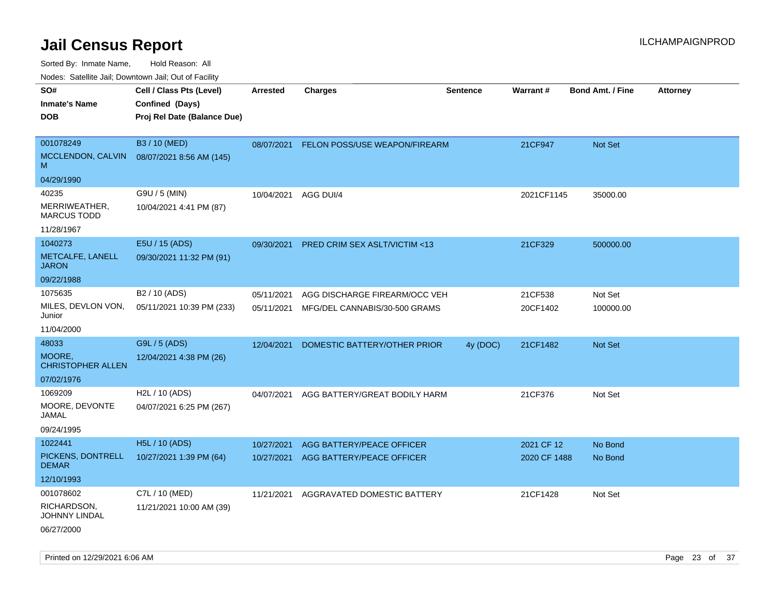Sorted By: Inmate Name, Hold Reason: All

Nodes: Satellite Jail; Downtown Jail; Out of Facility

| SO#<br><b>Inmate's Name</b><br><b>DOB</b>                 | Cell / Class Pts (Level)<br>Confined (Days)<br>Proj Rel Date (Balance Due) | <b>Arrested</b>          | <b>Charges</b>                                                 | <b>Sentence</b> | Warrant#            | <b>Bond Amt. / Fine</b> | <b>Attorney</b> |
|-----------------------------------------------------------|----------------------------------------------------------------------------|--------------------------|----------------------------------------------------------------|-----------------|---------------------|-------------------------|-----------------|
| 001078249<br>MCCLENDON, CALVIN<br>M                       | B3 / 10 (MED)<br>08/07/2021 8:56 AM (145)                                  | 08/07/2021               | FELON POSS/USE WEAPON/FIREARM                                  |                 | 21CF947             | Not Set                 |                 |
| 04/29/1990                                                |                                                                            |                          |                                                                |                 |                     |                         |                 |
| 40235<br>MERRIWEATHER,<br><b>MARCUS TODD</b>              | G9U / 5 (MIN)<br>10/04/2021 4:41 PM (87)                                   | 10/04/2021               | AGG DUI/4                                                      |                 | 2021CF1145          | 35000.00                |                 |
| 11/28/1967                                                |                                                                            |                          |                                                                |                 |                     |                         |                 |
| 1040273<br>METCALFE, LANELL<br><b>JARON</b>               | E5U / 15 (ADS)<br>09/30/2021 11:32 PM (91)                                 | 09/30/2021               | <b>PRED CRIM SEX ASLT/VICTIM &lt;13</b>                        |                 | 21CF329             | 500000.00               |                 |
| 09/22/1988                                                |                                                                            |                          |                                                                |                 |                     |                         |                 |
| 1075635<br>MILES, DEVLON VON,<br>Junior                   | B <sub>2</sub> / 10 (ADS)<br>05/11/2021 10:39 PM (233)                     | 05/11/2021<br>05/11/2021 | AGG DISCHARGE FIREARM/OCC VEH<br>MFG/DEL CANNABIS/30-500 GRAMS |                 | 21CF538<br>20CF1402 | Not Set<br>100000.00    |                 |
| 11/04/2000                                                |                                                                            |                          |                                                                |                 |                     |                         |                 |
| 48033<br>MOORE,<br><b>CHRISTOPHER ALLEN</b><br>07/02/1976 | G9L / 5 (ADS)<br>12/04/2021 4:38 PM (26)                                   | 12/04/2021               | DOMESTIC BATTERY/OTHER PRIOR                                   | 4y (DOC)        | 21CF1482            | <b>Not Set</b>          |                 |
| 1069209                                                   | H2L / 10 (ADS)                                                             | 04/07/2021               | AGG BATTERY/GREAT BODILY HARM                                  |                 | 21CF376             | Not Set                 |                 |
| MOORE, DEVONTE<br>JAMAL                                   | 04/07/2021 6:25 PM (267)                                                   |                          |                                                                |                 |                     |                         |                 |
| 09/24/1995                                                |                                                                            |                          |                                                                |                 |                     |                         |                 |
| 1022441                                                   | <b>H5L / 10 (ADS)</b>                                                      | 10/27/2021               | AGG BATTERY/PEACE OFFICER                                      |                 | 2021 CF 12          | No Bond                 |                 |
| PICKENS, DONTRELL<br><b>DEMAR</b>                         | 10/27/2021 1:39 PM (64)                                                    | 10/27/2021               | AGG BATTERY/PEACE OFFICER                                      |                 | 2020 CF 1488        | No Bond                 |                 |
| 12/10/1993                                                |                                                                            |                          |                                                                |                 |                     |                         |                 |
| 001078602                                                 | C7L / 10 (MED)                                                             | 11/21/2021               | AGGRAVATED DOMESTIC BATTERY                                    |                 | 21CF1428            | Not Set                 |                 |
| RICHARDSON,<br><b>JOHNNY LINDAL</b>                       | 11/21/2021 10:00 AM (39)                                                   |                          |                                                                |                 |                     |                         |                 |
| 06/27/2000                                                |                                                                            |                          |                                                                |                 |                     |                         |                 |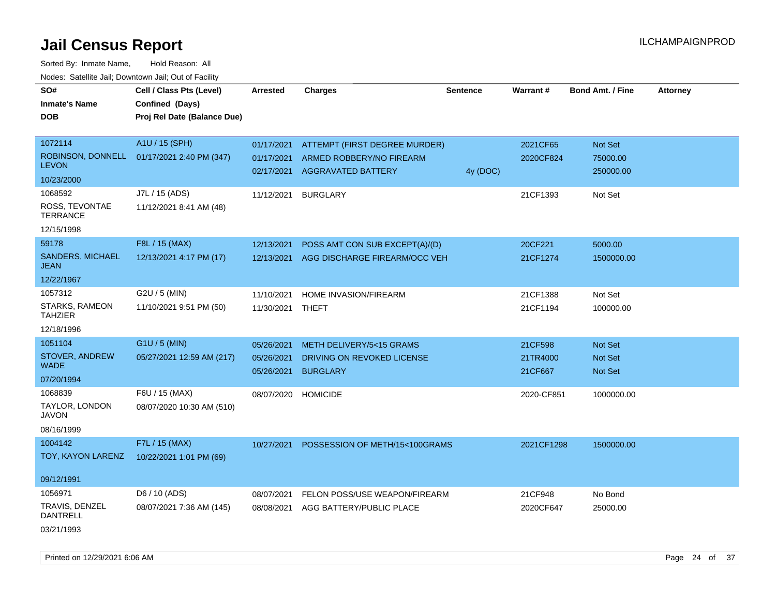Sorted By: Inmate Name, Hold Reason: All

| Nodes: Satellite Jail; Downtown Jail; Out of Facility |                             |                          |                                                       |                 |            |                         |                 |
|-------------------------------------------------------|-----------------------------|--------------------------|-------------------------------------------------------|-----------------|------------|-------------------------|-----------------|
| SO#                                                   | Cell / Class Pts (Level)    | <b>Arrested</b>          | <b>Charges</b>                                        | <b>Sentence</b> | Warrant #  | <b>Bond Amt. / Fine</b> | <b>Attorney</b> |
| <b>Inmate's Name</b>                                  | Confined (Days)             |                          |                                                       |                 |            |                         |                 |
| <b>DOB</b>                                            | Proj Rel Date (Balance Due) |                          |                                                       |                 |            |                         |                 |
|                                                       |                             |                          |                                                       |                 |            |                         |                 |
| 1072114                                               | A1U / 15 (SPH)              | 01/17/2021               | ATTEMPT (FIRST DEGREE MURDER)                         |                 | 2021CF65   | Not Set                 |                 |
| ROBINSON, DONNELL<br><b>LEVON</b>                     | 01/17/2021 2:40 PM (347)    | 01/17/2021<br>02/17/2021 | ARMED ROBBERY/NO FIREARM<br><b>AGGRAVATED BATTERY</b> |                 | 2020CF824  | 75000.00                |                 |
| 10/23/2000                                            |                             |                          |                                                       | 4y (DOC)        |            | 250000.00               |                 |
| 1068592                                               | J7L / 15 (ADS)              | 11/12/2021               | <b>BURGLARY</b>                                       |                 | 21CF1393   | Not Set                 |                 |
| ROSS, TEVONTAE<br><b>TERRANCE</b>                     | 11/12/2021 8:41 AM (48)     |                          |                                                       |                 |            |                         |                 |
| 12/15/1998                                            |                             |                          |                                                       |                 |            |                         |                 |
| 59178                                                 | F8L / 15 (MAX)              | 12/13/2021               | POSS AMT CON SUB EXCEPT(A)/(D)                        |                 | 20CF221    | 5000.00                 |                 |
| <b>SANDERS, MICHAEL</b><br><b>JEAN</b>                | 12/13/2021 4:17 PM (17)     | 12/13/2021               | AGG DISCHARGE FIREARM/OCC VEH                         |                 | 21CF1274   | 1500000.00              |                 |
| 12/22/1967                                            |                             |                          |                                                       |                 |            |                         |                 |
| 1057312                                               | G2U / 5 (MIN)               | 11/10/2021               | HOME INVASION/FIREARM                                 |                 | 21CF1388   | Not Set                 |                 |
| STARKS, RAMEON<br><b>TAHZIER</b>                      | 11/10/2021 9:51 PM (50)     | 11/30/2021               | THEFT                                                 |                 | 21CF1194   | 100000.00               |                 |
| 12/18/1996                                            |                             |                          |                                                       |                 |            |                         |                 |
| 1051104                                               | G1U / 5 (MIN)               | 05/26/2021               | METH DELIVERY/5<15 GRAMS                              |                 | 21CF598    | <b>Not Set</b>          |                 |
| STOVER, ANDREW                                        | 05/27/2021 12:59 AM (217)   | 05/26/2021               | DRIVING ON REVOKED LICENSE                            |                 | 21TR4000   | Not Set                 |                 |
| <b>WADE</b>                                           |                             | 05/26/2021               | <b>BURGLARY</b>                                       |                 | 21CF667    | Not Set                 |                 |
| 07/20/1994                                            |                             |                          |                                                       |                 |            |                         |                 |
| 1068839                                               | F6U / 15 (MAX)              | 08/07/2020               | <b>HOMICIDE</b>                                       |                 | 2020-CF851 | 1000000.00              |                 |
| TAYLOR, LONDON<br><b>JAVON</b>                        | 08/07/2020 10:30 AM (510)   |                          |                                                       |                 |            |                         |                 |
| 08/16/1999                                            |                             |                          |                                                       |                 |            |                         |                 |
| 1004142                                               | F7L / 15 (MAX)              | 10/27/2021               | POSSESSION OF METH/15<100GRAMS                        |                 | 2021CF1298 | 1500000.00              |                 |
| TOY, KAYON LARENZ                                     | 10/22/2021 1:01 PM (69)     |                          |                                                       |                 |            |                         |                 |
|                                                       |                             |                          |                                                       |                 |            |                         |                 |
| 09/12/1991                                            |                             |                          |                                                       |                 |            |                         |                 |
| 1056971                                               | D6 / 10 (ADS)               | 08/07/2021               | FELON POSS/USE WEAPON/FIREARM                         |                 | 21CF948    | No Bond                 |                 |
| TRAVIS, DENZEL<br><b>DANTRELL</b>                     | 08/07/2021 7:36 AM (145)    | 08/08/2021               | AGG BATTERY/PUBLIC PLACE                              |                 | 2020CF647  | 25000.00                |                 |
| 03/21/1993                                            |                             |                          |                                                       |                 |            |                         |                 |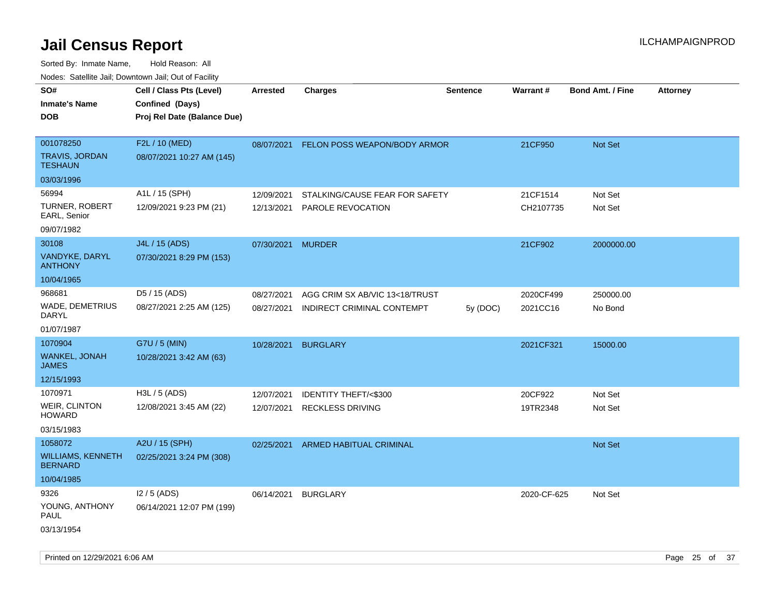Sorted By: Inmate Name, Hold Reason: All Nodes: Satellite Jail; Downtown Jail; Out of Facility

| roacs. Catellite Jall, Downtown Jall, Out of Facility |                                                                            |                          |                                                     |          |                       |                         |                 |
|-------------------------------------------------------|----------------------------------------------------------------------------|--------------------------|-----------------------------------------------------|----------|-----------------------|-------------------------|-----------------|
| SO#<br><b>Inmate's Name</b><br><b>DOB</b>             | Cell / Class Pts (Level)<br>Confined (Days)<br>Proj Rel Date (Balance Due) | <b>Arrested</b>          | <b>Charges</b>                                      | Sentence | Warrant#              | <b>Bond Amt. / Fine</b> | <b>Attorney</b> |
|                                                       |                                                                            |                          |                                                     |          |                       |                         |                 |
| 001078250<br><b>TRAVIS, JORDAN</b><br><b>TESHAUN</b>  | F2L / 10 (MED)<br>08/07/2021 10:27 AM (145)                                | 08/07/2021               | FELON POSS WEAPON/BODY ARMOR                        |          | 21CF950               | Not Set                 |                 |
| 03/03/1996                                            |                                                                            |                          |                                                     |          |                       |                         |                 |
| 56994                                                 | A1L / 15 (SPH)                                                             |                          |                                                     |          |                       |                         |                 |
| TURNER, ROBERT<br>EARL, Senior                        | 12/09/2021 9:23 PM (21)                                                    | 12/09/2021<br>12/13/2021 | STALKING/CAUSE FEAR FOR SAFETY<br>PAROLE REVOCATION |          | 21CF1514<br>CH2107735 | Not Set<br>Not Set      |                 |
| 09/07/1982                                            |                                                                            |                          |                                                     |          |                       |                         |                 |
| 30108                                                 | J4L / 15 (ADS)                                                             | 07/30/2021               | <b>MURDER</b>                                       |          | 21CF902               | 2000000.00              |                 |
| VANDYKE, DARYL<br><b>ANTHONY</b>                      | 07/30/2021 8:29 PM (153)                                                   |                          |                                                     |          |                       |                         |                 |
| 10/04/1965                                            |                                                                            |                          |                                                     |          |                       |                         |                 |
| 968681                                                | D5 / 15 (ADS)                                                              | 08/27/2021               | AGG CRIM SX AB/VIC 13<18/TRUST                      |          | 2020CF499             | 250000.00               |                 |
| WADE, DEMETRIUS<br>DARYL                              | 08/27/2021 2:25 AM (125)                                                   | 08/27/2021               | INDIRECT CRIMINAL CONTEMPT                          | 5y(DOC)  | 2021CC16              | No Bond                 |                 |
| 01/07/1987                                            |                                                                            |                          |                                                     |          |                       |                         |                 |
| 1070904                                               | G7U / 5 (MIN)                                                              | 10/28/2021               | <b>BURGLARY</b>                                     |          | 2021CF321             | 15000.00                |                 |
| WANKEL, JONAH<br><b>JAMES</b>                         | 10/28/2021 3:42 AM (63)                                                    |                          |                                                     |          |                       |                         |                 |
| 12/15/1993                                            |                                                                            |                          |                                                     |          |                       |                         |                 |
| 1070971                                               | H3L / 5 (ADS)                                                              | 12/07/2021               | <b>IDENTITY THEFT/&lt;\$300</b>                     |          | 20CF922               | Not Set                 |                 |
| WEIR, CLINTON<br><b>HOWARD</b>                        | 12/08/2021 3:45 AM (22)                                                    | 12/07/2021               | <b>RECKLESS DRIVING</b>                             |          | 19TR2348              | Not Set                 |                 |
| 03/15/1983                                            |                                                                            |                          |                                                     |          |                       |                         |                 |
| 1058072                                               | A2U / 15 (SPH)                                                             | 02/25/2021               | ARMED HABITUAL CRIMINAL                             |          |                       | Not Set                 |                 |
| <b>WILLIAMS, KENNETH</b><br><b>BERNARD</b>            | 02/25/2021 3:24 PM (308)                                                   |                          |                                                     |          |                       |                         |                 |
| 10/04/1985                                            |                                                                            |                          |                                                     |          |                       |                         |                 |
| 9326                                                  | I2 / 5 (ADS)                                                               | 06/14/2021               | <b>BURGLARY</b>                                     |          | 2020-CF-625           | Not Set                 |                 |
| YOUNG, ANTHONY<br>PAUL                                | 06/14/2021 12:07 PM (199)                                                  |                          |                                                     |          |                       |                         |                 |
| 03/13/1954                                            |                                                                            |                          |                                                     |          |                       |                         |                 |

Printed on 12/29/2021 6:06 AM Page 25 of 37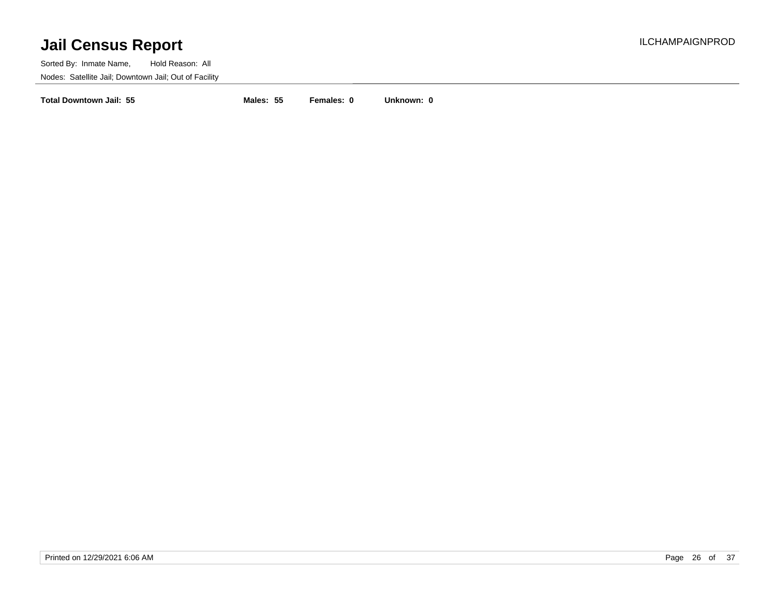Sorted By: Inmate Name, Hold Reason: All Nodes: Satellite Jail; Downtown Jail; Out of Facility

**Total Downtown Jail: 55 Males: 55 Females: 0 Unknown: 0**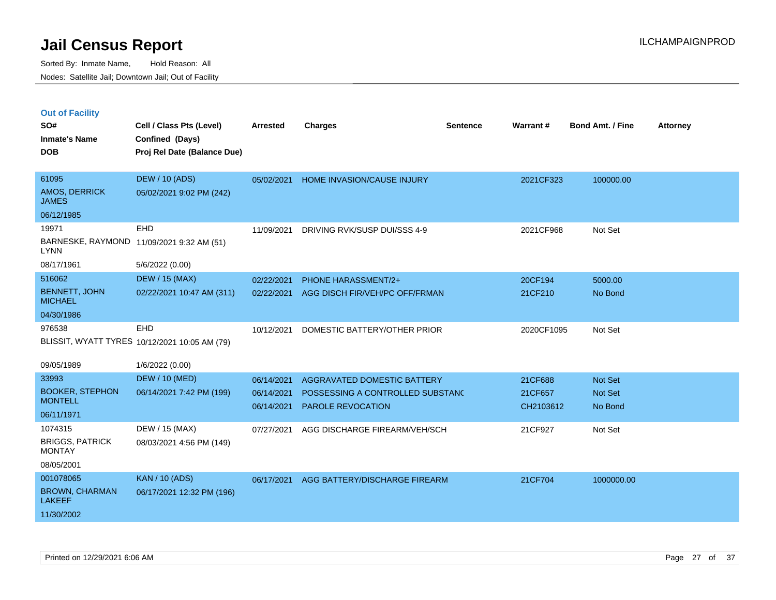|  | <b>Out of Facility</b> |  |
|--|------------------------|--|

| SO#<br><b>Inmate's Name</b><br><b>DOB</b>                                    | Cell / Class Pts (Level)<br>Confined (Days)<br>Proj Rel Date (Balance Due) | <b>Arrested</b>                        | <b>Charges</b>                                                                              | <b>Sentence</b> | Warrant#                        | <b>Bond Amt. / Fine</b>              | <b>Attorney</b> |
|------------------------------------------------------------------------------|----------------------------------------------------------------------------|----------------------------------------|---------------------------------------------------------------------------------------------|-----------------|---------------------------------|--------------------------------------|-----------------|
| 61095<br>AMOS, DERRICK<br><b>JAMES</b>                                       | <b>DEW / 10 (ADS)</b><br>05/02/2021 9:02 PM (242)                          | 05/02/2021                             | HOME INVASION/CAUSE INJURY                                                                  |                 | 2021CF323                       | 100000.00                            |                 |
| 06/12/1985<br>19971<br><b>LYNN</b>                                           | <b>EHD</b><br>BARNESKE, RAYMOND 11/09/2021 9:32 AM (51)                    | 11/09/2021                             | DRIVING RVK/SUSP DUI/SSS 4-9                                                                |                 | 2021CF968                       | Not Set                              |                 |
| 08/17/1961<br>516062<br><b>BENNETT, JOHN</b><br><b>MICHAEL</b><br>04/30/1986 | 5/6/2022 (0.00)<br><b>DEW / 15 (MAX)</b><br>02/22/2021 10:47 AM (311)      | 02/22/2021<br>02/22/2021               | <b>PHONE HARASSMENT/2+</b><br>AGG DISCH FIR/VEH/PC OFF/FRMAN                                |                 | 20CF194<br>21CF210              | 5000.00<br>No Bond                   |                 |
| 976538<br>09/05/1989                                                         | EHD<br>BLISSIT, WYATT TYRES 10/12/2021 10:05 AM (79)<br>1/6/2022 (0.00)    | 10/12/2021                             | DOMESTIC BATTERY/OTHER PRIOR                                                                |                 | 2020CF1095                      | Not Set                              |                 |
| 33993<br><b>BOOKER, STEPHON</b><br><b>MONTELL</b><br>06/11/1971              | <b>DEW / 10 (MED)</b><br>06/14/2021 7:42 PM (199)                          | 06/14/2021<br>06/14/2021<br>06/14/2021 | AGGRAVATED DOMESTIC BATTERY<br>POSSESSING A CONTROLLED SUBSTANC<br><b>PAROLE REVOCATION</b> |                 | 21CF688<br>21CF657<br>CH2103612 | <b>Not Set</b><br>Not Set<br>No Bond |                 |
| 1074315<br><b>BRIGGS, PATRICK</b><br><b>MONTAY</b><br>08/05/2001             | DEW / 15 (MAX)<br>08/03/2021 4:56 PM (149)                                 | 07/27/2021                             | AGG DISCHARGE FIREARM/VEH/SCH                                                               |                 | 21CF927                         | Not Set                              |                 |
| 001078065<br><b>BROWN, CHARMAN</b><br><b>LAKEEF</b><br>11/30/2002            | <b>KAN / 10 (ADS)</b><br>06/17/2021 12:32 PM (196)                         | 06/17/2021                             | AGG BATTERY/DISCHARGE FIREARM                                                               |                 | 21CF704                         | 1000000.00                           |                 |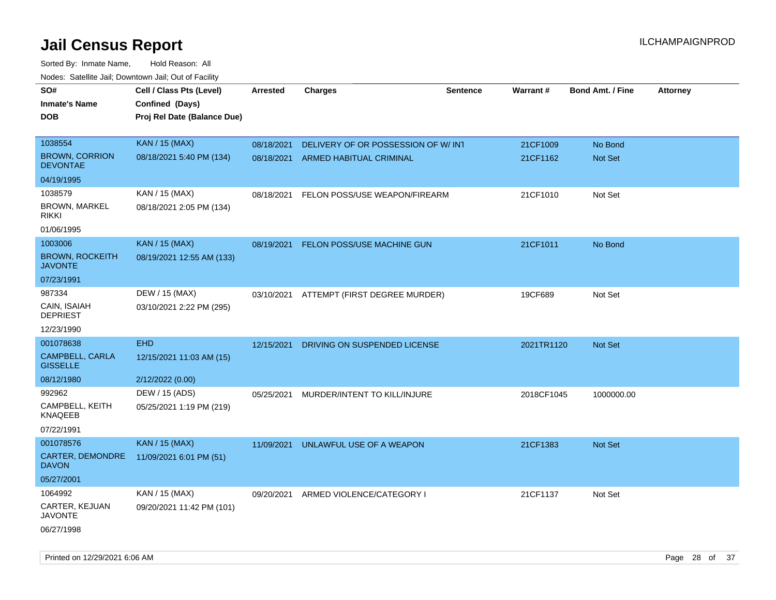| roaco. Calcinio dan, Downtown dan, Cal or Fability |                             |            |                                          |                 |                 |                         |                 |
|----------------------------------------------------|-----------------------------|------------|------------------------------------------|-----------------|-----------------|-------------------------|-----------------|
| SO#                                                | Cell / Class Pts (Level)    | Arrested   | <b>Charges</b>                           | <b>Sentence</b> | <b>Warrant#</b> | <b>Bond Amt. / Fine</b> | <b>Attorney</b> |
| Inmate's Name                                      | Confined (Days)             |            |                                          |                 |                 |                         |                 |
| DOB                                                | Proj Rel Date (Balance Due) |            |                                          |                 |                 |                         |                 |
|                                                    |                             |            |                                          |                 |                 |                         |                 |
| 1038554                                            | <b>KAN / 15 (MAX)</b>       | 08/18/2021 | DELIVERY OF OR POSSESSION OF W/INT       |                 | 21CF1009        | No Bond                 |                 |
| <b>BROWN, CORRION</b><br><b>DEVONTAE</b>           | 08/18/2021 5:40 PM (134)    | 08/18/2021 | ARMED HABITUAL CRIMINAL                  |                 | 21CF1162        | Not Set                 |                 |
| 04/19/1995                                         |                             |            |                                          |                 |                 |                         |                 |
| 1038579                                            | KAN / 15 (MAX)              | 08/18/2021 | FELON POSS/USE WEAPON/FIREARM            |                 | 21CF1010        | Not Set                 |                 |
| <b>BROWN, MARKEL</b><br>rikki                      | 08/18/2021 2:05 PM (134)    |            |                                          |                 |                 |                         |                 |
| 01/06/1995                                         |                             |            |                                          |                 |                 |                         |                 |
| 1003006                                            | <b>KAN / 15 (MAX)</b>       | 08/19/2021 | FELON POSS/USE MACHINE GUN               |                 | 21CF1011        | No Bond                 |                 |
| <b>BROWN, ROCKEITH</b><br>JAVONTE                  | 08/19/2021 12:55 AM (133)   |            |                                          |                 |                 |                         |                 |
| 07/23/1991                                         |                             |            |                                          |                 |                 |                         |                 |
| 987334                                             | DEW / 15 (MAX)              |            | 03/10/2021 ATTEMPT (FIRST DEGREE MURDER) |                 | 19CF689         | Not Set                 |                 |
| CAIN, ISAIAH<br><b>DEPRIEST</b>                    | 03/10/2021 2:22 PM (295)    |            |                                          |                 |                 |                         |                 |
| 12/23/1990                                         |                             |            |                                          |                 |                 |                         |                 |
| 001078638                                          | <b>EHD</b>                  | 12/15/2021 | DRIVING ON SUSPENDED LICENSE             |                 | 2021TR1120      | <b>Not Set</b>          |                 |
| <b>CAMPBELL, CARLA</b><br><b>GISSELLE</b>          | 12/15/2021 11:03 AM (15)    |            |                                          |                 |                 |                         |                 |
| 08/12/1980                                         | 2/12/2022 (0.00)            |            |                                          |                 |                 |                         |                 |
| 992962                                             | DEW / 15 (ADS)              | 05/25/2021 | MURDER/INTENT TO KILL/INJURE             |                 | 2018CF1045      | 1000000.00              |                 |
| CAMPBELL, KEITH<br>KNAQEEB                         | 05/25/2021 1:19 PM (219)    |            |                                          |                 |                 |                         |                 |
| 07/22/1991                                         |                             |            |                                          |                 |                 |                         |                 |
| 001078576                                          | <b>KAN / 15 (MAX)</b>       | 11/09/2021 | UNLAWFUL USE OF A WEAPON                 |                 | 21CF1383        | <b>Not Set</b>          |                 |
| CARTER, DEMONDRE<br>DAVON                          | 11/09/2021 6:01 PM (51)     |            |                                          |                 |                 |                         |                 |
| 05/27/2001                                         |                             |            |                                          |                 |                 |                         |                 |
| 1064992                                            | KAN / 15 (MAX)              | 09/20/2021 | ARMED VIOLENCE/CATEGORY I                |                 | 21CF1137        | Not Set                 |                 |
| CARTER, KEJUAN<br>JAVONTE                          | 09/20/2021 11:42 PM (101)   |            |                                          |                 |                 |                         |                 |
| 06/27/1998                                         |                             |            |                                          |                 |                 |                         |                 |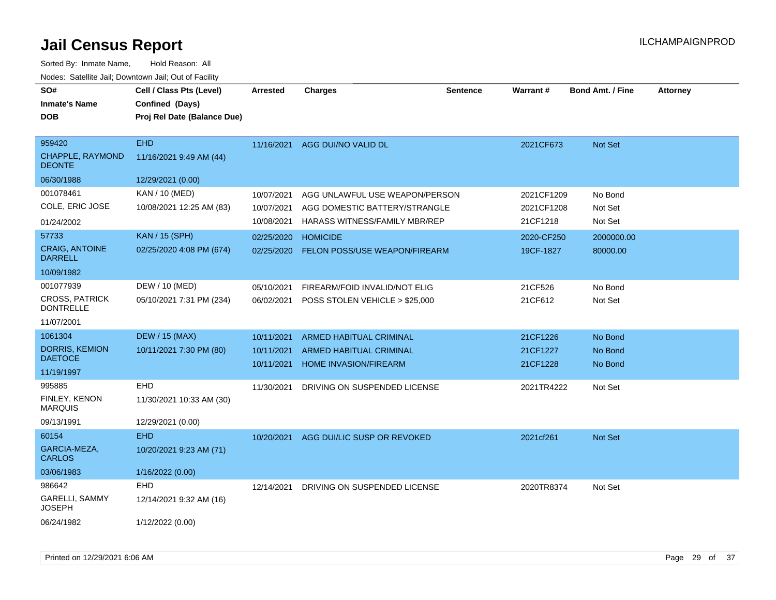| SO#<br><b>Inmate's Name</b><br><b>DOB</b>                            | Cell / Class Pts (Level)<br>Confined (Days)<br>Proj Rel Date (Balance Due) | <b>Arrested</b>                        | <b>Charges</b>                                                                                          | <b>Sentence</b> | Warrant#                             | <b>Bond Amt. / Fine</b>       | <b>Attorney</b> |
|----------------------------------------------------------------------|----------------------------------------------------------------------------|----------------------------------------|---------------------------------------------------------------------------------------------------------|-----------------|--------------------------------------|-------------------------------|-----------------|
| 959420<br><b>CHAPPLE, RAYMOND</b><br><b>DEONTE</b><br>06/30/1988     | <b>EHD</b><br>11/16/2021 9:49 AM (44)<br>12/29/2021 (0.00)                 |                                        | 11/16/2021 AGG DUI/NO VALID DL                                                                          |                 | 2021CF673                            | Not Set                       |                 |
| 001078461<br>COLE, ERIC JOSE<br>01/24/2002                           | KAN / 10 (MED)<br>10/08/2021 12:25 AM (83)                                 | 10/07/2021<br>10/07/2021<br>10/08/2021 | AGG UNLAWFUL USE WEAPON/PERSON<br>AGG DOMESTIC BATTERY/STRANGLE<br><b>HARASS WITNESS/FAMILY MBR/REP</b> |                 | 2021CF1209<br>2021CF1208<br>21CF1218 | No Bond<br>Not Set<br>Not Set |                 |
| 57733<br><b>CRAIG, ANTOINE</b><br><b>DARRELL</b><br>10/09/1982       | <b>KAN / 15 (SPH)</b><br>02/25/2020 4:08 PM (674)                          | 02/25/2020<br>02/25/2020               | <b>HOMICIDE</b><br><b>FELON POSS/USE WEAPON/FIREARM</b>                                                 |                 | 2020-CF250<br>19CF-1827              | 2000000.00<br>80000.00        |                 |
| 001077939<br><b>CROSS, PATRICK</b><br><b>DONTRELLE</b><br>11/07/2001 | DEW / 10 (MED)<br>05/10/2021 7:31 PM (234)                                 | 05/10/2021<br>06/02/2021               | FIREARM/FOID INVALID/NOT ELIG<br>POSS STOLEN VEHICLE > \$25,000                                         |                 | 21CF526<br>21CF612                   | No Bond<br>Not Set            |                 |
| 1061304<br><b>DORRIS, KEMION</b><br><b>DAETOCE</b><br>11/19/1997     | <b>DEW / 15 (MAX)</b><br>10/11/2021 7:30 PM (80)                           | 10/11/2021<br>10/11/2021<br>10/11/2021 | <b>ARMED HABITUAL CRIMINAL</b><br><b>ARMED HABITUAL CRIMINAL</b><br><b>HOME INVASION/FIREARM</b>        |                 | 21CF1226<br>21CF1227<br>21CF1228     | No Bond<br>No Bond<br>No Bond |                 |
| 995885<br>FINLEY, KENON<br><b>MARQUIS</b><br>09/13/1991              | <b>EHD</b><br>11/30/2021 10:33 AM (30)<br>12/29/2021 (0.00)                | 11/30/2021                             | DRIVING ON SUSPENDED LICENSE                                                                            |                 | 2021TR4222                           | Not Set                       |                 |
| 60154<br>GARCIA-MEZA,<br><b>CARLOS</b><br>03/06/1983                 | <b>EHD</b><br>10/20/2021 9:23 AM (71)<br>1/16/2022 (0.00)                  | 10/20/2021                             | AGG DUI/LIC SUSP OR REVOKED                                                                             |                 | 2021cf261                            | Not Set                       |                 |
| 986642<br>GARELLI, SAMMY<br><b>JOSEPH</b><br>06/24/1982              | <b>EHD</b><br>12/14/2021 9:32 AM (16)<br>1/12/2022 (0.00)                  | 12/14/2021                             | DRIVING ON SUSPENDED LICENSE                                                                            |                 | 2020TR8374                           | Not Set                       |                 |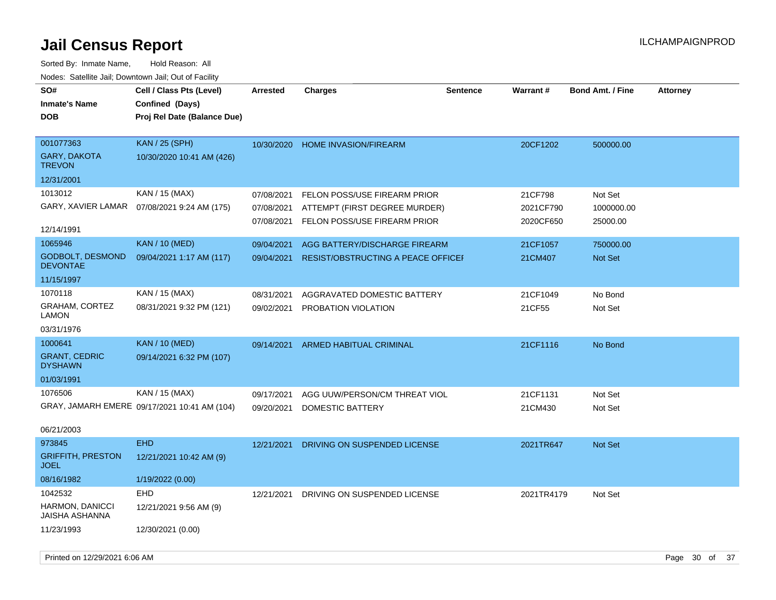| SO#<br><b>Inmate's Name</b>              | Cell / Class Pts (Level)<br>Confined (Days)  | <b>Arrested</b> | <b>Charges</b>                            | <b>Sentence</b> | <b>Warrant#</b> | <b>Bond Amt. / Fine</b> | <b>Attorney</b> |
|------------------------------------------|----------------------------------------------|-----------------|-------------------------------------------|-----------------|-----------------|-------------------------|-----------------|
| <b>DOB</b>                               | Proj Rel Date (Balance Due)                  |                 |                                           |                 |                 |                         |                 |
|                                          |                                              |                 |                                           |                 |                 |                         |                 |
| 001077363                                | <b>KAN / 25 (SPH)</b>                        | 10/30/2020      | HOME INVASION/FIREARM                     |                 | 20CF1202        | 500000.00               |                 |
| <b>GARY, DAKOTA</b><br><b>TREVON</b>     | 10/30/2020 10:41 AM (426)                    |                 |                                           |                 |                 |                         |                 |
| 12/31/2001                               |                                              |                 |                                           |                 |                 |                         |                 |
| 1013012                                  | KAN / 15 (MAX)                               | 07/08/2021      | FELON POSS/USE FIREARM PRIOR              |                 | 21CF798         | Not Set                 |                 |
|                                          | GARY, XAVIER LAMAR  07/08/2021 9:24 AM (175) | 07/08/2021      | ATTEMPT (FIRST DEGREE MURDER)             |                 | 2021CF790       | 1000000.00              |                 |
|                                          |                                              | 07/08/2021      | FELON POSS/USE FIREARM PRIOR              |                 | 2020CF650       | 25000.00                |                 |
| 12/14/1991                               |                                              |                 |                                           |                 |                 |                         |                 |
| 1065946                                  | <b>KAN / 10 (MED)</b>                        | 09/04/2021      | AGG BATTERY/DISCHARGE FIREARM             |                 | 21CF1057        | 750000.00               |                 |
| GODBOLT, DESMOND<br><b>DEVONTAE</b>      | 09/04/2021 1:17 AM (117)                     | 09/04/2021      | <b>RESIST/OBSTRUCTING A PEACE OFFICEF</b> |                 | 21CM407         | Not Set                 |                 |
| 11/15/1997                               |                                              |                 |                                           |                 |                 |                         |                 |
| 1070118                                  | KAN / 15 (MAX)                               | 08/31/2021      | AGGRAVATED DOMESTIC BATTERY               |                 | 21CF1049        | No Bond                 |                 |
| <b>GRAHAM, CORTEZ</b><br><b>LAMON</b>    | 08/31/2021 9:32 PM (121)                     | 09/02/2021      | PROBATION VIOLATION                       |                 | 21CF55          | Not Set                 |                 |
| 03/31/1976                               |                                              |                 |                                           |                 |                 |                         |                 |
| 1000641                                  | <b>KAN / 10 (MED)</b>                        | 09/14/2021      | <b>ARMED HABITUAL CRIMINAL</b>            |                 | 21CF1116        | No Bond                 |                 |
| <b>GRANT, CEDRIC</b><br><b>DYSHAWN</b>   | 09/14/2021 6:32 PM (107)                     |                 |                                           |                 |                 |                         |                 |
| 01/03/1991                               |                                              |                 |                                           |                 |                 |                         |                 |
| 1076506                                  | KAN / 15 (MAX)                               | 09/17/2021      | AGG UUW/PERSON/CM THREAT VIOL             |                 | 21CF1131        | Not Set                 |                 |
|                                          | GRAY, JAMARH EMERE 09/17/2021 10:41 AM (104) | 09/20/2021      | DOMESTIC BATTERY                          |                 | 21CM430         | Not Set                 |                 |
| 06/21/2003                               |                                              |                 |                                           |                 |                 |                         |                 |
| 973845                                   | <b>EHD</b>                                   | 12/21/2021      | DRIVING ON SUSPENDED LICENSE              |                 | 2021TR647       | <b>Not Set</b>          |                 |
| <b>GRIFFITH, PRESTON</b><br><b>JOEL</b>  | 12/21/2021 10:42 AM (9)                      |                 |                                           |                 |                 |                         |                 |
| 08/16/1982                               | 1/19/2022 (0.00)                             |                 |                                           |                 |                 |                         |                 |
| 1042532                                  | <b>EHD</b>                                   | 12/21/2021      | DRIVING ON SUSPENDED LICENSE              |                 | 2021TR4179      | Not Set                 |                 |
| HARMON, DANICCI<br><b>JAISHA ASHANNA</b> | 12/21/2021 9:56 AM (9)                       |                 |                                           |                 |                 |                         |                 |
| 11/23/1993                               | 12/30/2021 (0.00)                            |                 |                                           |                 |                 |                         |                 |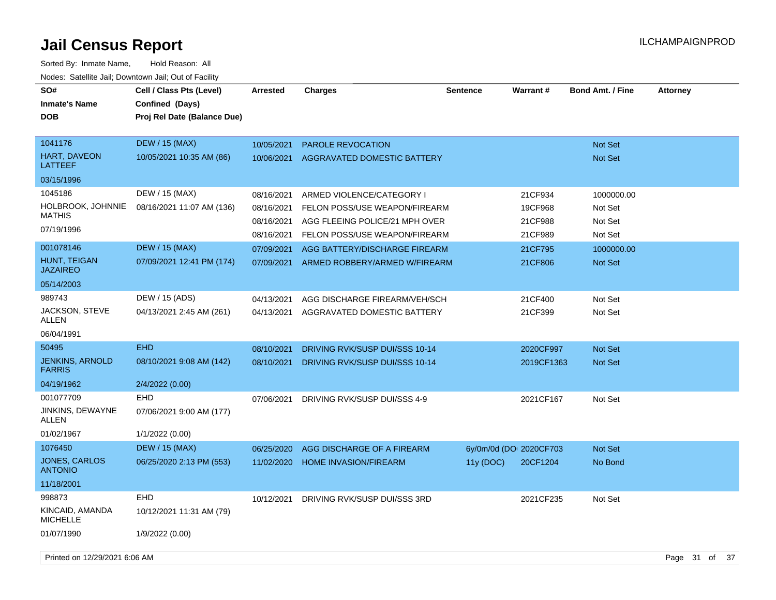| SO#<br><b>Inmate's Name</b><br><b>DOB</b> | Cell / Class Pts (Level)<br>Confined (Days)<br>Proj Rel Date (Balance Due) | <b>Arrested</b> | Charges                        | <b>Sentence</b> | <b>Warrant#</b>         | <b>Bond Amt. / Fine</b> | <b>Attorney</b> |
|-------------------------------------------|----------------------------------------------------------------------------|-----------------|--------------------------------|-----------------|-------------------------|-------------------------|-----------------|
| 1041176                                   | <b>DEW / 15 (MAX)</b>                                                      | 10/05/2021      | <b>PAROLE REVOCATION</b>       |                 |                         | <b>Not Set</b>          |                 |
| <b>HART, DAVEON</b><br><b>LATTEEF</b>     | 10/05/2021 10:35 AM (86)                                                   | 10/06/2021      | AGGRAVATED DOMESTIC BATTERY    |                 |                         | Not Set                 |                 |
| 03/15/1996                                |                                                                            |                 |                                |                 |                         |                         |                 |
| 1045186                                   | DEW / 15 (MAX)                                                             | 08/16/2021      | ARMED VIOLENCE/CATEGORY I      |                 | 21CF934                 | 1000000.00              |                 |
| HOLBROOK, JOHNNIE<br><b>MATHIS</b>        | 08/16/2021 11:07 AM (136)                                                  | 08/16/2021      | FELON POSS/USE WEAPON/FIREARM  |                 | 19CF968                 | Not Set                 |                 |
| 07/19/1996                                |                                                                            | 08/16/2021      | AGG FLEEING POLICE/21 MPH OVER |                 | 21CF988                 | Not Set                 |                 |
|                                           |                                                                            | 08/16/2021      | FELON POSS/USE WEAPON/FIREARM  |                 | 21CF989                 | Not Set                 |                 |
| 001078146                                 | <b>DEW / 15 (MAX)</b>                                                      | 07/09/2021      | AGG BATTERY/DISCHARGE FIREARM  |                 | 21CF795                 | 1000000.00              |                 |
| HUNT, TEIGAN<br><b>JAZAIREO</b>           | 07/09/2021 12:41 PM (174)                                                  | 07/09/2021      | ARMED ROBBERY/ARMED W/FIREARM  |                 | 21CF806                 | <b>Not Set</b>          |                 |
| 05/14/2003                                |                                                                            |                 |                                |                 |                         |                         |                 |
| 989743                                    | DEW / 15 (ADS)                                                             | 04/13/2021      | AGG DISCHARGE FIREARM/VEH/SCH  |                 | 21CF400                 | Not Set                 |                 |
| JACKSON, STEVE<br><b>ALLEN</b>            | 04/13/2021 2:45 AM (261)                                                   | 04/13/2021      | AGGRAVATED DOMESTIC BATTERY    |                 | 21CF399                 | Not Set                 |                 |
| 06/04/1991                                |                                                                            |                 |                                |                 |                         |                         |                 |
| 50495                                     | <b>EHD</b>                                                                 | 08/10/2021      | DRIVING RVK/SUSP DUI/SSS 10-14 |                 | 2020CF997               | <b>Not Set</b>          |                 |
| <b>JENKINS, ARNOLD</b><br><b>FARRIS</b>   | 08/10/2021 9:08 AM (142)                                                   | 08/10/2021      | DRIVING RVK/SUSP DUI/SSS 10-14 |                 | 2019CF1363              | Not Set                 |                 |
| 04/19/1962                                | 2/4/2022 (0.00)                                                            |                 |                                |                 |                         |                         |                 |
| 001077709                                 | <b>EHD</b>                                                                 | 07/06/2021      | DRIVING RVK/SUSP DUI/SSS 4-9   |                 | 2021CF167               | Not Set                 |                 |
| JINKINS, DEWAYNE<br>ALLEN                 | 07/06/2021 9:00 AM (177)                                                   |                 |                                |                 |                         |                         |                 |
| 01/02/1967                                | 1/1/2022 (0.00)                                                            |                 |                                |                 |                         |                         |                 |
| 1076450                                   | <b>DEW / 15 (MAX)</b>                                                      | 06/25/2020      | AGG DISCHARGE OF A FIREARM     |                 | 6y/0m/0d (DO: 2020CF703 | Not Set                 |                 |
| JONES, CARLOS<br><b>ANTONIO</b>           | 06/25/2020 2:13 PM (553)                                                   | 11/02/2020      | <b>HOME INVASION/FIREARM</b>   | 11y (DOC)       | 20CF1204                | No Bond                 |                 |
| 11/18/2001                                |                                                                            |                 |                                |                 |                         |                         |                 |
| 998873                                    | <b>EHD</b>                                                                 | 10/12/2021      | DRIVING RVK/SUSP DUI/SSS 3RD   |                 | 2021CF235               | Not Set                 |                 |
| KINCAID, AMANDA<br><b>MICHELLE</b>        | 10/12/2021 11:31 AM (79)                                                   |                 |                                |                 |                         |                         |                 |
| 01/07/1990                                | 1/9/2022 (0.00)                                                            |                 |                                |                 |                         |                         |                 |
| Printed on 12/29/2021 6:06 AM             |                                                                            |                 |                                |                 |                         |                         | Page 31 of 37   |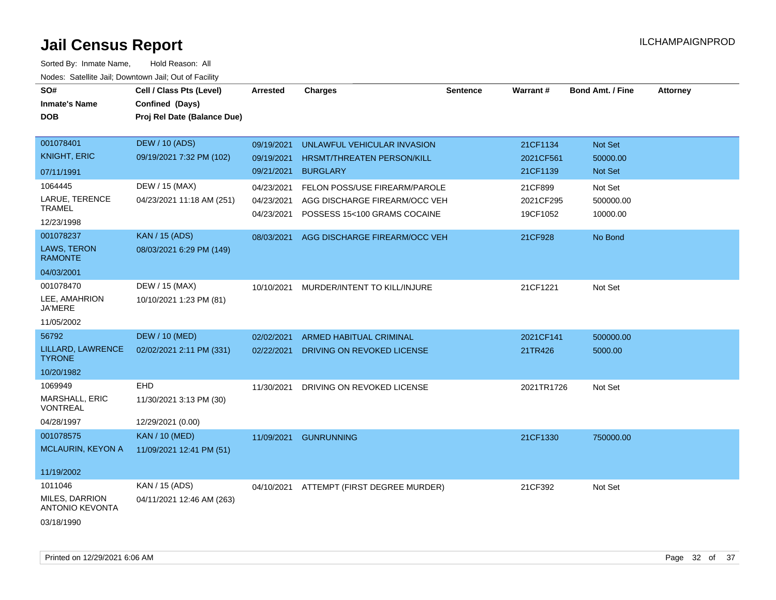| SO#<br><b>Inmate's Name</b><br><b>DOB</b>                         | Cell / Class Pts (Level)<br>Confined (Days)<br>Proj Rel Date (Balance Due) | <b>Arrested</b>                        | <b>Charges</b>                                                                                 | <b>Sentence</b> | <b>Warrant#</b>                   | <b>Bond Amt. / Fine</b>          | <b>Attorney</b> |
|-------------------------------------------------------------------|----------------------------------------------------------------------------|----------------------------------------|------------------------------------------------------------------------------------------------|-----------------|-----------------------------------|----------------------------------|-----------------|
| 001078401<br><b>KNIGHT, ERIC</b><br>07/11/1991                    | <b>DEW / 10 (ADS)</b><br>09/19/2021 7:32 PM (102)                          | 09/19/2021<br>09/19/2021<br>09/21/2021 | UNLAWFUL VEHICULAR INVASION<br>HRSMT/THREATEN PERSON/KILL<br><b>BURGLARY</b>                   |                 | 21CF1134<br>2021CF561<br>21CF1139 | Not Set<br>50000.00<br>Not Set   |                 |
| 1064445<br>LARUE, TERENCE<br><b>TRAMEL</b><br>12/23/1998          | DEW / 15 (MAX)<br>04/23/2021 11:18 AM (251)                                | 04/23/2021<br>04/23/2021<br>04/23/2021 | FELON POSS/USE FIREARM/PAROLE<br>AGG DISCHARGE FIREARM/OCC VEH<br>POSSESS 15<100 GRAMS COCAINE |                 | 21CF899<br>2021CF295<br>19CF1052  | Not Set<br>500000.00<br>10000.00 |                 |
| 001078237<br>LAWS, TERON<br><b>RAMONTE</b><br>04/03/2001          | <b>KAN / 15 (ADS)</b><br>08/03/2021 6:29 PM (149)                          | 08/03/2021                             | AGG DISCHARGE FIREARM/OCC VEH                                                                  |                 | 21CF928                           | No Bond                          |                 |
| 001078470<br>LEE, AMAHRION<br><b>JA'MERE</b><br>11/05/2002        | DEW / 15 (MAX)<br>10/10/2021 1:23 PM (81)                                  |                                        | 10/10/2021 MURDER/INTENT TO KILL/INJURE                                                        |                 | 21CF1221                          | Not Set                          |                 |
| 56792<br>LILLARD, LAWRENCE<br><b>TYRONE</b><br>10/20/1982         | <b>DEW / 10 (MED)</b><br>02/02/2021 2:11 PM (331)                          | 02/02/2021<br>02/22/2021               | ARMED HABITUAL CRIMINAL<br>DRIVING ON REVOKED LICENSE                                          |                 | 2021CF141<br>21TR426              | 500000.00<br>5000.00             |                 |
| 1069949<br>MARSHALL, ERIC<br><b>VONTREAL</b><br>04/28/1997        | EHD<br>11/30/2021 3:13 PM (30)<br>12/29/2021 (0.00)                        | 11/30/2021                             | DRIVING ON REVOKED LICENSE                                                                     |                 | 2021TR1726                        | Not Set                          |                 |
| 001078575<br><b>MCLAURIN, KEYON A</b><br>11/19/2002               | <b>KAN / 10 (MED)</b><br>11/09/2021 12:41 PM (51)                          | 11/09/2021                             | <b>GUNRUNNING</b>                                                                              |                 | 21CF1330                          | 750000.00                        |                 |
| 1011046<br>MILES, DARRION<br><b>ANTONIO KEVONTA</b><br>03/18/1990 | KAN / 15 (ADS)<br>04/11/2021 12:46 AM (263)                                |                                        | 04/10/2021 ATTEMPT (FIRST DEGREE MURDER)                                                       |                 | 21CF392                           | Not Set                          |                 |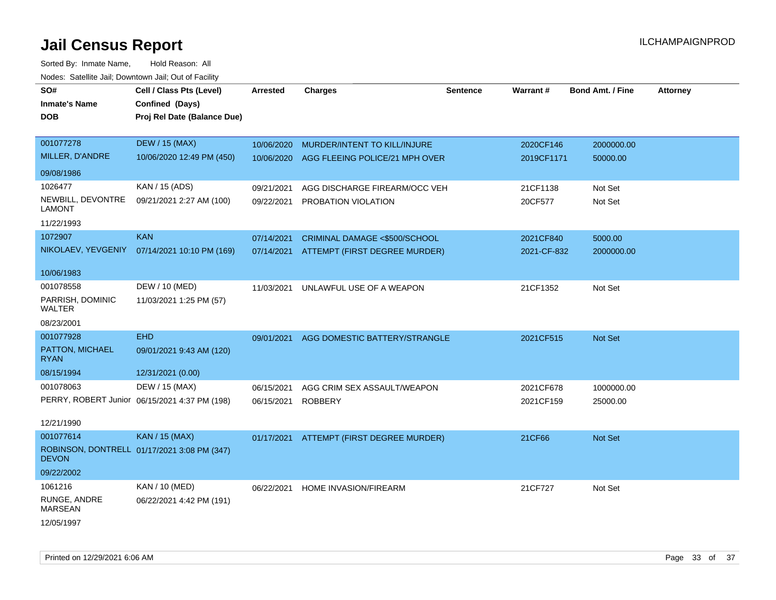| wacs. Calcinic Jan, Downtown Jan, Out of Facility |                                               |                 |                                |                 |             |                         |                 |
|---------------------------------------------------|-----------------------------------------------|-----------------|--------------------------------|-----------------|-------------|-------------------------|-----------------|
| SO#                                               | Cell / Class Pts (Level)                      | <b>Arrested</b> | <b>Charges</b>                 | <b>Sentence</b> | Warrant#    | <b>Bond Amt. / Fine</b> | <b>Attorney</b> |
| <b>Inmate's Name</b>                              | Confined (Days)                               |                 |                                |                 |             |                         |                 |
| <b>DOB</b>                                        | Proj Rel Date (Balance Due)                   |                 |                                |                 |             |                         |                 |
|                                                   |                                               |                 |                                |                 |             |                         |                 |
| 001077278                                         | <b>DEW / 15 (MAX)</b>                         | 10/06/2020      | MURDER/INTENT TO KILL/INJURE   |                 | 2020CF146   | 2000000.00              |                 |
| MILLER, D'ANDRE                                   | 10/06/2020 12:49 PM (450)                     | 10/06/2020      | AGG FLEEING POLICE/21 MPH OVER |                 | 2019CF1171  | 50000.00                |                 |
| 09/08/1986                                        |                                               |                 |                                |                 |             |                         |                 |
| 1026477                                           | KAN / 15 (ADS)                                | 09/21/2021      | AGG DISCHARGE FIREARM/OCC VEH  |                 | 21CF1138    | Not Set                 |                 |
| NEWBILL, DEVONTRE<br><b>LAMONT</b>                | 09/21/2021 2:27 AM (100)                      | 09/22/2021      | <b>PROBATION VIOLATION</b>     |                 | 20CF577     | Not Set                 |                 |
| 11/22/1993                                        |                                               |                 |                                |                 |             |                         |                 |
| 1072907                                           | <b>KAN</b>                                    | 07/14/2021      | CRIMINAL DAMAGE <\$500/SCHOOL  |                 | 2021CF840   | 5000.00                 |                 |
| NIKOLAEV, YEVGENIY                                | 07/14/2021 10:10 PM (169)                     | 07/14/2021      | ATTEMPT (FIRST DEGREE MURDER)  |                 | 2021-CF-832 | 2000000.00              |                 |
|                                                   |                                               |                 |                                |                 |             |                         |                 |
| 10/06/1983                                        |                                               |                 |                                |                 |             |                         |                 |
| 001078558                                         | DEW / 10 (MED)                                | 11/03/2021      | UNLAWFUL USE OF A WEAPON       |                 | 21CF1352    | Not Set                 |                 |
| PARRISH, DOMINIC<br>WALTER                        | 11/03/2021 1:25 PM (57)                       |                 |                                |                 |             |                         |                 |
|                                                   |                                               |                 |                                |                 |             |                         |                 |
| 08/23/2001                                        |                                               |                 |                                |                 |             |                         |                 |
| 001077928                                         | <b>EHD</b>                                    | 09/01/2021      | AGG DOMESTIC BATTERY/STRANGLE  |                 | 2021CF515   | Not Set                 |                 |
| PATTON, MICHAEL<br><b>RYAN</b>                    | 09/01/2021 9:43 AM (120)                      |                 |                                |                 |             |                         |                 |
| 08/15/1994                                        | 12/31/2021 (0.00)                             |                 |                                |                 |             |                         |                 |
| 001078063                                         | DEW / 15 (MAX)                                | 06/15/2021      | AGG CRIM SEX ASSAULT/WEAPON    |                 | 2021CF678   | 1000000.00              |                 |
|                                                   | PERRY, ROBERT Junior 06/15/2021 4:37 PM (198) | 06/15/2021      | <b>ROBBERY</b>                 |                 | 2021CF159   | 25000.00                |                 |
|                                                   |                                               |                 |                                |                 |             |                         |                 |
| 12/21/1990                                        |                                               |                 |                                |                 |             |                         |                 |
| 001077614                                         | <b>KAN / 15 (MAX)</b>                         | 01/17/2021      | ATTEMPT (FIRST DEGREE MURDER)  |                 | 21CF66      | Not Set                 |                 |
| <b>DEVON</b>                                      | ROBINSON, DONTRELL 01/17/2021 3:08 PM (347)   |                 |                                |                 |             |                         |                 |
| 09/22/2002                                        |                                               |                 |                                |                 |             |                         |                 |
| 1061216                                           | KAN / 10 (MED)                                | 06/22/2021      | HOME INVASION/FIREARM          |                 | 21CF727     | Not Set                 |                 |
| RUNGE, ANDRE<br><b>MARSEAN</b>                    | 06/22/2021 4:42 PM (191)                      |                 |                                |                 |             |                         |                 |
| 12/05/1997                                        |                                               |                 |                                |                 |             |                         |                 |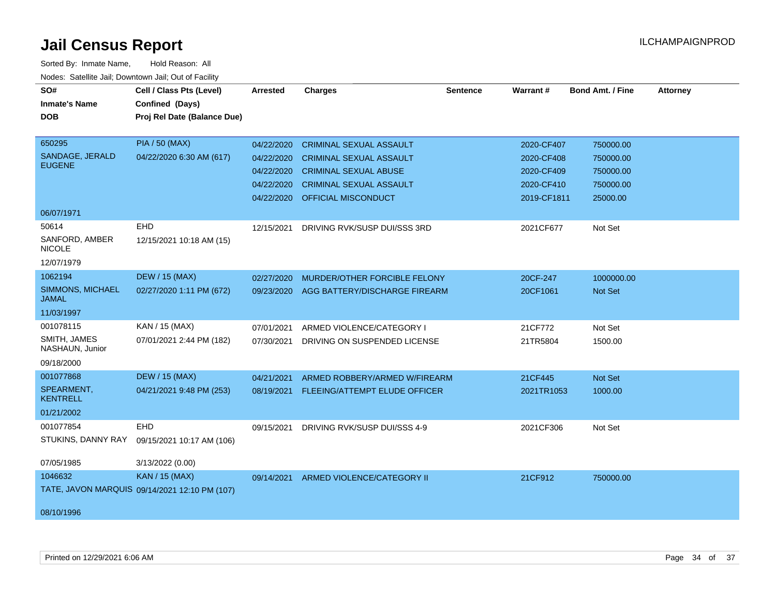| <u>Rodos.</u> Odiolino dali, Downtown dali, Odi of Fabilit |                                               |                 |                                          |                 |             |                         |                 |
|------------------------------------------------------------|-----------------------------------------------|-----------------|------------------------------------------|-----------------|-------------|-------------------------|-----------------|
| SO#                                                        | Cell / Class Pts (Level)                      | <b>Arrested</b> | <b>Charges</b>                           | <b>Sentence</b> | Warrant#    | <b>Bond Amt. / Fine</b> | <b>Attorney</b> |
| <b>Inmate's Name</b>                                       | Confined (Days)                               |                 |                                          |                 |             |                         |                 |
| <b>DOB</b>                                                 | Proj Rel Date (Balance Due)                   |                 |                                          |                 |             |                         |                 |
|                                                            |                                               |                 |                                          |                 |             |                         |                 |
| 650295                                                     | <b>PIA / 50 (MAX)</b>                         | 04/22/2020      | <b>CRIMINAL SEXUAL ASSAULT</b>           |                 | 2020-CF407  | 750000.00               |                 |
| SANDAGE, JERALD<br><b>EUGENE</b>                           | 04/22/2020 6:30 AM (617)                      | 04/22/2020      | <b>CRIMINAL SEXUAL ASSAULT</b>           |                 | 2020-CF408  | 750000.00               |                 |
|                                                            |                                               | 04/22/2020      | <b>CRIMINAL SEXUAL ABUSE</b>             |                 | 2020-CF409  | 750000.00               |                 |
|                                                            |                                               | 04/22/2020      | <b>CRIMINAL SEXUAL ASSAULT</b>           |                 | 2020-CF410  | 750000.00               |                 |
|                                                            |                                               | 04/22/2020      | OFFICIAL MISCONDUCT                      |                 | 2019-CF1811 | 25000.00                |                 |
| 06/07/1971                                                 |                                               |                 |                                          |                 |             |                         |                 |
| 50614                                                      | EHD                                           | 12/15/2021      | DRIVING RVK/SUSP DUI/SSS 3RD             |                 | 2021CF677   | Not Set                 |                 |
| SANFORD, AMBER<br><b>NICOLE</b>                            | 12/15/2021 10:18 AM (15)                      |                 |                                          |                 |             |                         |                 |
| 12/07/1979                                                 |                                               |                 |                                          |                 |             |                         |                 |
| 1062194                                                    | <b>DEW / 15 (MAX)</b>                         | 02/27/2020      | MURDER/OTHER FORCIBLE FELONY             |                 | 20CF-247    | 1000000.00              |                 |
| SIMMONS, MICHAEL<br><b>JAMAL</b>                           | 02/27/2020 1:11 PM (672)                      | 09/23/2020      | AGG BATTERY/DISCHARGE FIREARM            |                 | 20CF1061    | <b>Not Set</b>          |                 |
| 11/03/1997                                                 |                                               |                 |                                          |                 |             |                         |                 |
| 001078115                                                  | KAN / 15 (MAX)                                | 07/01/2021      | ARMED VIOLENCE/CATEGORY I                |                 | 21CF772     | Not Set                 |                 |
| SMITH, JAMES<br>NASHAUN, Junior                            | 07/01/2021 2:44 PM (182)                      | 07/30/2021      | DRIVING ON SUSPENDED LICENSE             |                 | 21TR5804    | 1500.00                 |                 |
| 09/18/2000                                                 |                                               |                 |                                          |                 |             |                         |                 |
| 001077868                                                  | <b>DEW / 15 (MAX)</b>                         | 04/21/2021      | ARMED ROBBERY/ARMED W/FIREARM            |                 | 21CF445     | Not Set                 |                 |
| SPEARMENT,<br><b>KENTRELL</b>                              | 04/21/2021 9:48 PM (253)                      |                 | 08/19/2021 FLEEING/ATTEMPT ELUDE OFFICER |                 | 2021TR1053  | 1000.00                 |                 |
| 01/21/2002                                                 |                                               |                 |                                          |                 |             |                         |                 |
| 001077854                                                  | EHD                                           | 09/15/2021      | DRIVING RVK/SUSP DUI/SSS 4-9             |                 | 2021CF306   | Not Set                 |                 |
| STUKINS, DANNY RAY                                         | 09/15/2021 10:17 AM (106)                     |                 |                                          |                 |             |                         |                 |
| 07/05/1985                                                 | 3/13/2022 (0.00)                              |                 |                                          |                 |             |                         |                 |
| 1046632                                                    | <b>KAN / 15 (MAX)</b>                         | 09/14/2021      | ARMED VIOLENCE/CATEGORY II               |                 | 21CF912     | 750000.00               |                 |
|                                                            | TATE, JAVON MARQUIS 09/14/2021 12:10 PM (107) |                 |                                          |                 |             |                         |                 |
| 08/10/1996                                                 |                                               |                 |                                          |                 |             |                         |                 |
|                                                            |                                               |                 |                                          |                 |             |                         |                 |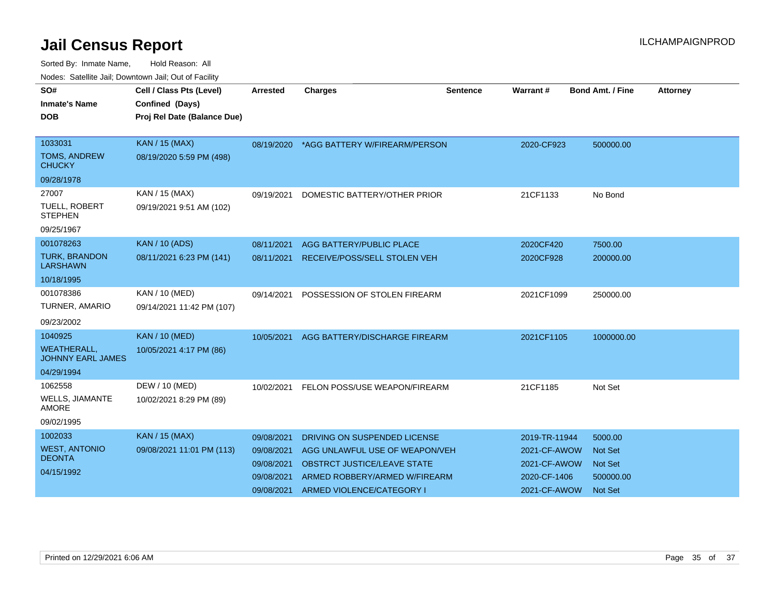| <b>Neget Calculus Vall, Downlown Vall, Out of Fability</b> |                             |                 |                                          |                 |               |                         |                 |
|------------------------------------------------------------|-----------------------------|-----------------|------------------------------------------|-----------------|---------------|-------------------------|-----------------|
| SO#                                                        | Cell / Class Pts (Level)    | <b>Arrested</b> | <b>Charges</b>                           | <b>Sentence</b> | Warrant#      | <b>Bond Amt. / Fine</b> | <b>Attorney</b> |
| <b>Inmate's Name</b>                                       | Confined (Days)             |                 |                                          |                 |               |                         |                 |
| <b>DOB</b>                                                 | Proj Rel Date (Balance Due) |                 |                                          |                 |               |                         |                 |
|                                                            |                             |                 |                                          |                 |               |                         |                 |
| 1033031                                                    | <b>KAN / 15 (MAX)</b>       |                 | 08/19/2020 *AGG BATTERY W/FIREARM/PERSON |                 | 2020-CF923    | 500000.00               |                 |
| TOMS, ANDREW<br><b>CHUCKY</b>                              | 08/19/2020 5:59 PM (498)    |                 |                                          |                 |               |                         |                 |
| 09/28/1978                                                 |                             |                 |                                          |                 |               |                         |                 |
| 27007                                                      | KAN / 15 (MAX)              | 09/19/2021      | DOMESTIC BATTERY/OTHER PRIOR             |                 | 21CF1133      | No Bond                 |                 |
| <b>TUELL, ROBERT</b><br><b>STEPHEN</b>                     | 09/19/2021 9:51 AM (102)    |                 |                                          |                 |               |                         |                 |
| 09/25/1967                                                 |                             |                 |                                          |                 |               |                         |                 |
| 001078263                                                  | <b>KAN / 10 (ADS)</b>       | 08/11/2021      | AGG BATTERY/PUBLIC PLACE                 |                 | 2020CF420     | 7500.00                 |                 |
| <b>TURK, BRANDON</b><br><b>LARSHAWN</b>                    | 08/11/2021 6:23 PM (141)    | 08/11/2021      | RECEIVE/POSS/SELL STOLEN VEH             |                 | 2020CF928     | 200000.00               |                 |
| 10/18/1995                                                 |                             |                 |                                          |                 |               |                         |                 |
| 001078386                                                  | KAN / 10 (MED)              | 09/14/2021      | POSSESSION OF STOLEN FIREARM             |                 | 2021CF1099    | 250000.00               |                 |
| TURNER, AMARIO                                             | 09/14/2021 11:42 PM (107)   |                 |                                          |                 |               |                         |                 |
| 09/23/2002                                                 |                             |                 |                                          |                 |               |                         |                 |
| 1040925                                                    | <b>KAN / 10 (MED)</b>       | 10/05/2021      | AGG BATTERY/DISCHARGE FIREARM            |                 | 2021CF1105    | 1000000.00              |                 |
| <b>WEATHERALL,</b><br><b>JOHNNY EARL JAMES</b>             | 10/05/2021 4:17 PM (86)     |                 |                                          |                 |               |                         |                 |
| 04/29/1994                                                 |                             |                 |                                          |                 |               |                         |                 |
| 1062558                                                    | DEW / 10 (MED)              | 10/02/2021      | FELON POSS/USE WEAPON/FIREARM            |                 | 21CF1185      | Not Set                 |                 |
| <b>WELLS, JIAMANTE</b><br><b>AMORE</b>                     | 10/02/2021 8:29 PM (89)     |                 |                                          |                 |               |                         |                 |
| 09/02/1995                                                 |                             |                 |                                          |                 |               |                         |                 |
| 1002033                                                    | <b>KAN / 15 (MAX)</b>       | 09/08/2021      | DRIVING ON SUSPENDED LICENSE             |                 | 2019-TR-11944 | 5000.00                 |                 |
| <b>WEST, ANTONIO</b>                                       | 09/08/2021 11:01 PM (113)   | 09/08/2021      | AGG UNLAWFUL USE OF WEAPON/VEH           |                 | 2021-CF-AWOW  | <b>Not Set</b>          |                 |
| <b>DEONTA</b>                                              |                             | 09/08/2021      | <b>OBSTRCT JUSTICE/LEAVE STATE</b>       |                 | 2021-CF-AWOW  | Not Set                 |                 |
| 04/15/1992                                                 |                             | 09/08/2021      | ARMED ROBBERY/ARMED W/FIREARM            |                 | 2020-CF-1406  | 500000.00               |                 |
|                                                            |                             | 09/08/2021      | ARMED VIOLENCE/CATEGORY I                |                 | 2021-CF-AWOW  | <b>Not Set</b>          |                 |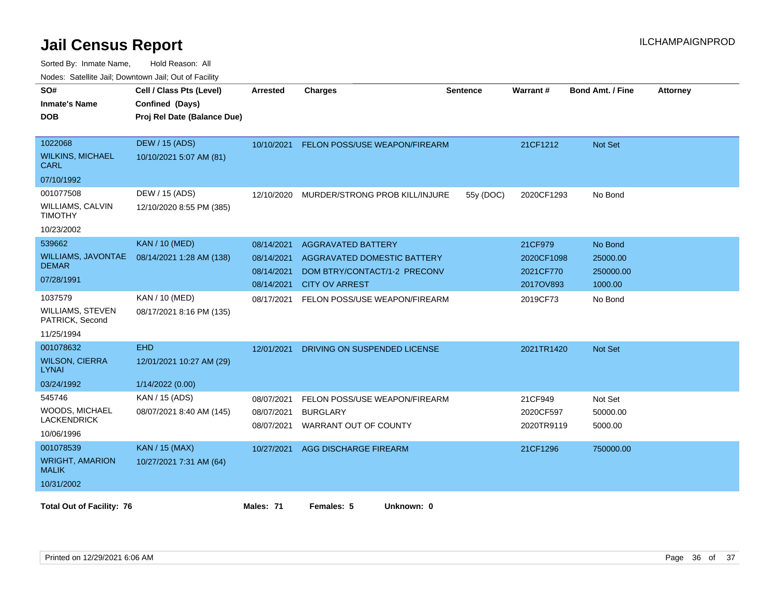| SO#<br><b>Inmate's Name</b><br><b>DOB</b>                           | Cell / Class Pts (Level)<br>Confined (Days)<br>Proj Rel Date (Balance Due) | <b>Arrested</b>                                      | <b>Charges</b>                                                                                                    | <b>Sentence</b> | Warrant#                                        | <b>Bond Amt. / Fine</b>                     | <b>Attorney</b> |
|---------------------------------------------------------------------|----------------------------------------------------------------------------|------------------------------------------------------|-------------------------------------------------------------------------------------------------------------------|-----------------|-------------------------------------------------|---------------------------------------------|-----------------|
| 1022068<br><b>WILKINS, MICHAEL</b><br><b>CARL</b><br>07/10/1992     | DEW / 15 (ADS)<br>10/10/2021 5:07 AM (81)                                  | 10/10/2021                                           | FELON POSS/USE WEAPON/FIREARM                                                                                     |                 | 21CF1212                                        | Not Set                                     |                 |
| 001077508<br>WILLIAMS, CALVIN<br><b>TIMOTHY</b><br>10/23/2002       | DEW / 15 (ADS)<br>12/10/2020 8:55 PM (385)                                 | 12/10/2020                                           | MURDER/STRONG PROB KILL/INJURE                                                                                    | 55y (DOC)       | 2020CF1293                                      | No Bond                                     |                 |
| 539662<br>WILLIAMS, JAVONTAE<br><b>DEMAR</b><br>07/28/1991          | <b>KAN / 10 (MED)</b><br>08/14/2021 1:28 AM (138)                          | 08/14/2021<br>08/14/2021<br>08/14/2021<br>08/14/2021 | <b>AGGRAVATED BATTERY</b><br>AGGRAVATED DOMESTIC BATTERY<br>DOM BTRY/CONTACT/1-2 PRECONV<br><b>CITY OV ARREST</b> |                 | 21CF979<br>2020CF1098<br>2021CF770<br>2017OV893 | No Bond<br>25000.00<br>250000.00<br>1000.00 |                 |
| 1037579<br><b>WILLIAMS, STEVEN</b><br>PATRICK, Second<br>11/25/1994 | KAN / 10 (MED)<br>08/17/2021 8:16 PM (135)                                 | 08/17/2021                                           | FELON POSS/USE WEAPON/FIREARM                                                                                     |                 | 2019CF73                                        | No Bond                                     |                 |
| 001078632<br><b>WILSON, CIERRA</b><br><b>LYNAI</b><br>03/24/1992    | <b>EHD</b><br>12/01/2021 10:27 AM (29)<br>1/14/2022 (0.00)                 | 12/01/2021                                           | DRIVING ON SUSPENDED LICENSE                                                                                      |                 | 2021TR1420                                      | Not Set                                     |                 |
| 545746<br>WOODS, MICHAEL<br><b>LACKENDRICK</b><br>10/06/1996        | KAN / 15 (ADS)<br>08/07/2021 8:40 AM (145)                                 | 08/07/2021<br>08/07/2021<br>08/07/2021               | FELON POSS/USE WEAPON/FIREARM<br><b>BURGLARY</b><br>WARRANT OUT OF COUNTY                                         |                 | 21CF949<br>2020CF597<br>2020TR9119              | Not Set<br>50000.00<br>5000.00              |                 |
| 001078539<br><b>WRIGHT, AMARION</b><br><b>MALIK</b><br>10/31/2002   | <b>KAN / 15 (MAX)</b><br>10/27/2021 7:31 AM (64)                           | 10/27/2021                                           | AGG DISCHARGE FIREARM                                                                                             |                 | 21CF1296                                        | 750000.00                                   |                 |
| <b>Total Out of Facility: 76</b>                                    |                                                                            | Males: 71                                            | Females: 5<br>Unknown: 0                                                                                          |                 |                                                 |                                             |                 |